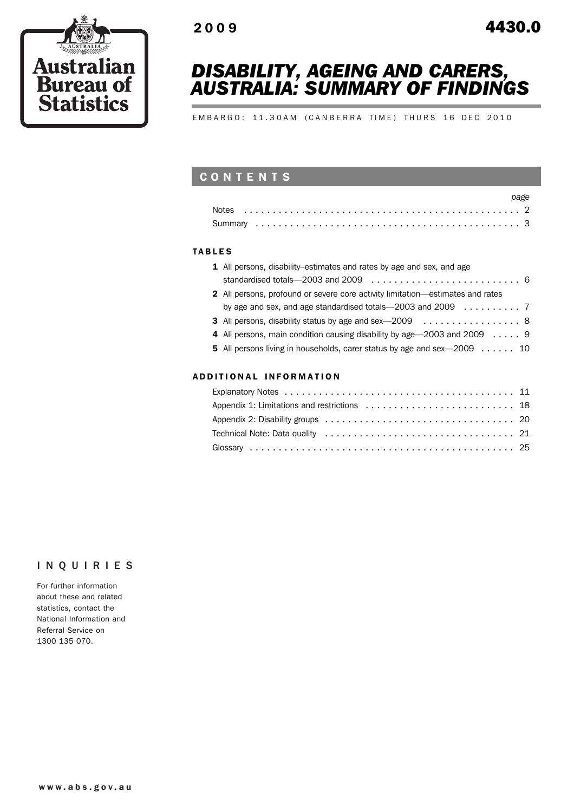

## *DISABILITY, AGEING AND CARERS, AUSTRALIA: SUMMARY OF FINDINGS*

EMBARGO: 11.30AM (CANBERRA TIME) THURS 16 DEC 2010

## CONTENTS

### TABLES

| 1 All persons, disability–estimates and rates by age and sex, and age                       |  |
|---------------------------------------------------------------------------------------------|--|
| standardised totals—2003 and 2009 $\ldots \ldots \ldots \ldots \ldots \ldots \ldots \ldots$ |  |
| 2 All persons, profound or severe core activity limitation—estimates and rates              |  |
|                                                                                             |  |
| 3 All persons, disability status by age and sex-2009 8                                      |  |
| 4 All persons, main condition causing disability by age 2003 and 2009 9                     |  |
| 5 All persons living in households, carer status by age and sex—2009 10                     |  |
|                                                                                             |  |

### ADD ITIONAL INFORMATION

## INQUIRIES

For further information about these and related statistics, contact the National Information and Referral Service on 1300 135 070.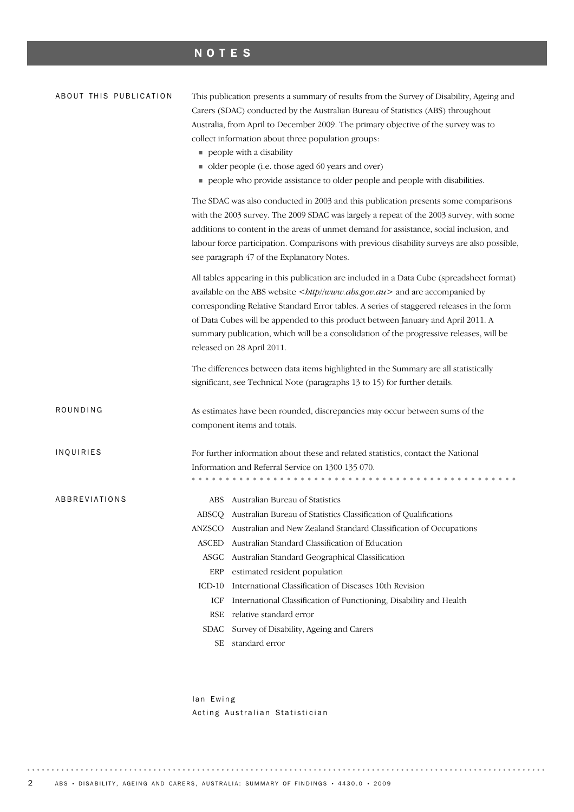## NOTES

| ABOUT THIS PUBLICATION | This publication presents a summary of results from the Survey of Disability, Ageing and<br>Carers (SDAC) conducted by the Australian Bureau of Statistics (ABS) throughout<br>Australia, from April to December 2009. The primary objective of the survey was to<br>collect information about three population groups:<br>people with a disability<br>• older people (i.e. those aged 60 years and over)<br>people who provide assistance to older people and people with disabilities.                                                            |
|------------------------|-----------------------------------------------------------------------------------------------------------------------------------------------------------------------------------------------------------------------------------------------------------------------------------------------------------------------------------------------------------------------------------------------------------------------------------------------------------------------------------------------------------------------------------------------------|
|                        | The SDAC was also conducted in 2003 and this publication presents some comparisons<br>with the 2003 survey. The 2009 SDAC was largely a repeat of the 2003 survey, with some<br>additions to content in the areas of unmet demand for assistance, social inclusion, and<br>labour force participation. Comparisons with previous disability surveys are also possible,<br>see paragraph 47 of the Explanatory Notes.                                                                                                                                |
|                        | All tables appearing in this publication are included in a Data Cube (spreadsheet format)<br>available on the ABS website $<$ <i>bttp</i> //www.abs.gov.au > and are accompanied by<br>corresponding Relative Standard Error tables. A series of staggered releases in the form<br>of Data Cubes will be appended to this product between January and April 2011. A<br>summary publication, which will be a consolidation of the progressive releases, will be<br>released on 28 April 2011.                                                        |
|                        | The differences between data items highlighted in the Summary are all statistically<br>significant, see Technical Note (paragraphs 13 to 15) for further details.                                                                                                                                                                                                                                                                                                                                                                                   |
| ROUNDING               | As estimates have been rounded, discrepancies may occur between sums of the<br>component items and totals.                                                                                                                                                                                                                                                                                                                                                                                                                                          |
| INQUIRIES              | For further information about these and related statistics, contact the National<br>Information and Referral Service on 1300 135 070.                                                                                                                                                                                                                                                                                                                                                                                                               |
| ABBREVIATIONS          | Australian Bureau of Statistics<br>ABS<br>ABSCO Australian Bureau of Statistics Classification of Qualifications<br>Australian and New Zealand Standard Classification of Occupations<br>ANZSCO<br>Australian Standard Classification of Education<br>ASCED<br>ASGC<br>Australian Standard Geographical Classification<br>ERP<br>estimated resident population<br>International Classification of Diseases 10th Revision<br>$ICD-10$<br>International Classification of Functioning, Disability and Health<br>ICF<br>relative standard error<br>RSE |
|                        | Survey of Disability, Ageing and Carers<br>SDAC<br>standard error<br>SЕ                                                                                                                                                                                                                                                                                                                                                                                                                                                                             |

Ian Ewing Acting Australian Statistician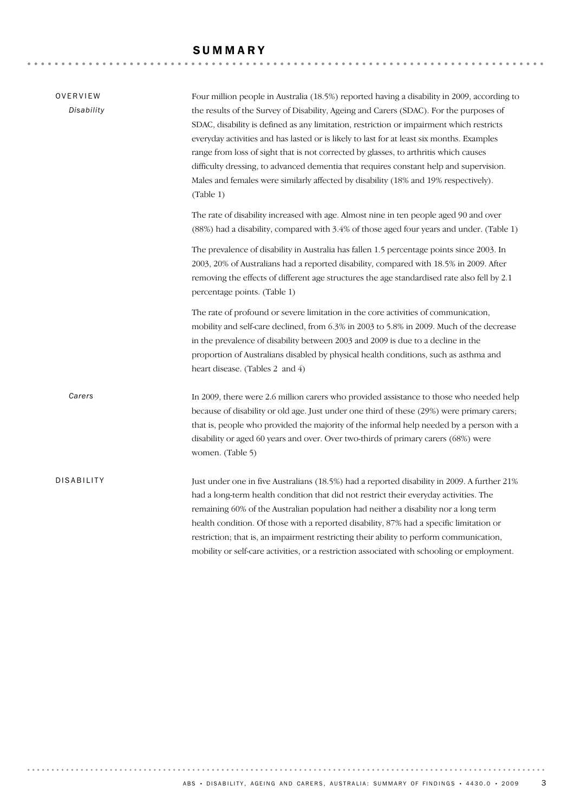## SUMMARY

| OVERVIEW<br>Disability | Four million people in Australia (18.5%) reported having a disability in 2009, according to<br>the results of the Survey of Disability, Ageing and Carers (SDAC). For the purposes of<br>SDAC, disability is defined as any limitation, restriction or impairment which restricts<br>everyday activities and has lasted or is likely to last for at least six months. Examples<br>range from loss of sight that is not corrected by glasses, to arthritis which causes<br>difficulty dressing, to advanced dementia that requires constant help and supervision.<br>Males and females were similarly affected by disability (18% and 19% respectively).<br>(Table 1)<br>The rate of disability increased with age. Almost nine in ten people aged 90 and over |
|------------------------|---------------------------------------------------------------------------------------------------------------------------------------------------------------------------------------------------------------------------------------------------------------------------------------------------------------------------------------------------------------------------------------------------------------------------------------------------------------------------------------------------------------------------------------------------------------------------------------------------------------------------------------------------------------------------------------------------------------------------------------------------------------|
|                        | (88%) had a disability, compared with 3.4% of those aged four years and under. (Table 1)<br>The prevalence of disability in Australia has fallen 1.5 percentage points since 2003. In<br>2003, 20% of Australians had a reported disability, compared with 18.5% in 2009. After<br>removing the effects of different age structures the age standardised rate also fell by 2.1<br>percentage points. (Table 1)                                                                                                                                                                                                                                                                                                                                                |
|                        | The rate of profound or severe limitation in the core activities of communication,<br>mobility and self-care declined, from 6.3% in 2003 to 5.8% in 2009. Much of the decrease<br>in the prevalence of disability between 2003 and 2009 is due to a decline in the<br>proportion of Australians disabled by physical health conditions, such as asthma and<br>heart disease. (Tables 2 and 4)                                                                                                                                                                                                                                                                                                                                                                 |
| Carers                 | In 2009, there were 2.6 million carers who provided assistance to those who needed help<br>because of disability or old age. Just under one third of these (29%) were primary carers;<br>that is, people who provided the majority of the informal help needed by a person with a<br>disability or aged 60 years and over. Over two-thirds of primary carers (68%) were<br>women. (Table 5)                                                                                                                                                                                                                                                                                                                                                                   |
| <b>DISABILITY</b>      | Just under one in five Australians (18.5%) had a reported disability in 2009. A further 21%<br>had a long-term health condition that did not restrict their everyday activities. The<br>remaining 60% of the Australian population had neither a disability nor a long term<br>health condition. Of those with a reported disability, 87% had a specific limitation or<br>restriction; that is, an impairment restricting their ability to perform communication,<br>mobility or self-care activities, or a restriction associated with schooling or employment.                                                                                                                                                                                              |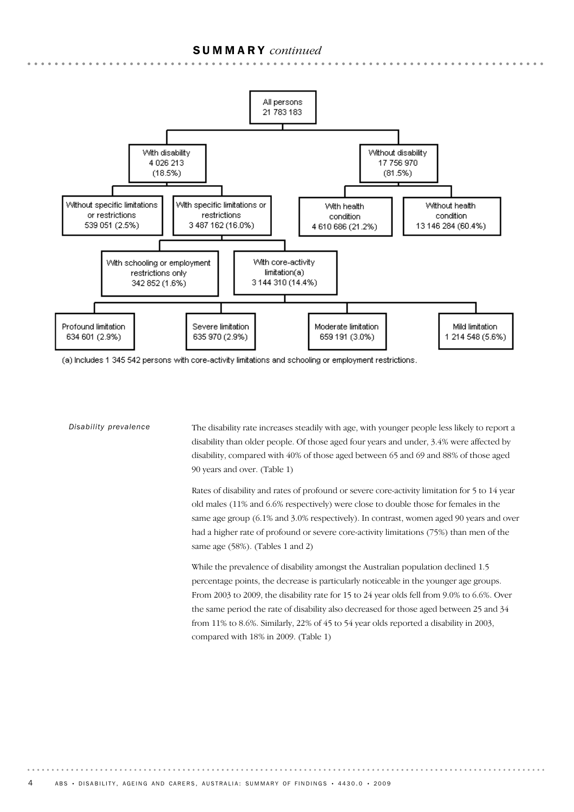

(a) Includes 1 345 542 persons with core-activity limitations and schooling or employment restrictions.

| Disability prevalence | The disability rate increases steadily with age, with younger people less likely to report a  |
|-----------------------|-----------------------------------------------------------------------------------------------|
|                       | disability than older people. Of those aged four years and under, 3.4% were affected by       |
|                       | disability, compared with 40% of those aged between 65 and 69 and 88% of those aged           |
|                       | 90 years and over. (Table 1)                                                                  |
|                       | Rates of disability and rates of profound or severe core-activity limitation for 5 to 14 year |
|                       | old males (11% and 6.6% respectively) were close to double those for females in the           |
|                       | same age group (6.1% and 3.0% respectively). In contrast, women aged 90 years and over        |
|                       | had a higher rate of profound or severe core-activity limitations (75%) than men of the       |
|                       | same age $(58%)$ . (Tables 1 and 2)                                                           |
|                       | While the prevalence of disability amongst the Australian population declined 1.5             |
|                       | percentage points, the decrease is particularly noticeable in the younger age groups.         |
|                       | From 2003 to 2009, the disability rate for 15 to 24 year olds fell from 9.0% to 6.6%. Over    |
|                       | the same period the rate of disability also decreased for those aged between 25 and 34        |
|                       | from 11% to 8.6%. Similarly, 22% of 45 to 54 year olds reported a disability in 2003,         |
|                       | compared with 18% in 2009. (Table 1)                                                          |
|                       |                                                                                               |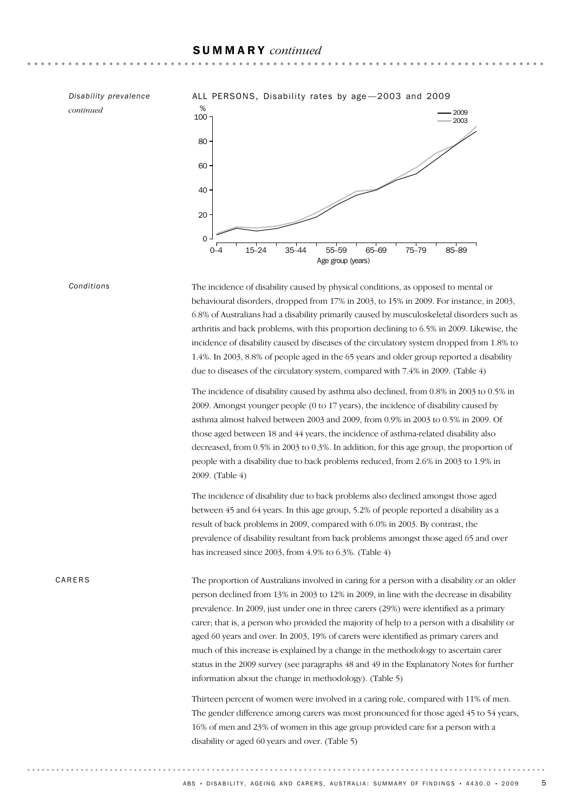*continued*

*Disability prevalence* ALL PERSONS, Disability rates by age - 2003 and 2009



*Conditions*

The incidence of disability caused by physical conditions, as opposed to mental or behavioural disorders, dropped from 17% in 2003, to 15% in 2009. For instance, in 2003, 6.8% of Australians had a disability primarily caused by musculoskeletal disorders such as arthritis and back problems, with this proportion declining to 6.5% in 2009. Likewise, the incidence of disability caused by diseases of the circulatory system dropped from 1.8% to 1.4%. In 2003, 8.8% of people aged in the 65 years and older group reported a disability due to diseases of the circulatory system, compared with 7.4% in 2009. (Table 4)

The incidence of disability caused by asthma also declined, from 0.8% in 2003 to 0.5% in 2009. Amongst younger people (0 to 17 years), the incidence of disability caused by asthma almost halved between 2003 and 2009, from 0.9% in 2003 to 0.5% in 2009. Of those aged between 18 and 44 years, the incidence of asthma-related disability also decreased, from 0.5% in 2003 to 0.3%. In addition, for this age group, the proportion of people with a disability due to back problems reduced, from 2.6% in 2003 to 1.9% in 2009. (Table 4)

The incidence of disability due to back problems also declined amongst those aged between 45 and 64 years. In this age group, 5.2% of people reported a disability as a result of back problems in 2009, compared with 6.0% in 2003. By contrast, the prevalence of disability resultant from back problems amongst those aged 65 and over has increased since 2003, from 4.9% to 6.3%. (Table 4)

CARERS

The proportion of Australians involved in caring for a person with a disability or an older person declined from 13% in 2003 to 12% in 2009, in line with the decrease in disability prevalence. In 2009, just under one in three carers (29%) were identified as a primary carer; that is, a person who provided the majority of help to a person with a disability or aged 60 years and over. In 2003, 19% of carers were identified as primary carers and much of this increase is explained by a change in the methodology to ascertain carer status in the 2009 survey (see paragraphs 48 and 49 in the Explanatory Notes for further information about the change in methodology). (Table 5)

Thirteen percent of women were involved in a caring role, compared with 11% of men. The gender difference among carers was most pronounced for those aged 45 to 54 years, 16% of men and 23% of women in this age group provided care for a person with a disability or aged 60 years and over. (Table 5)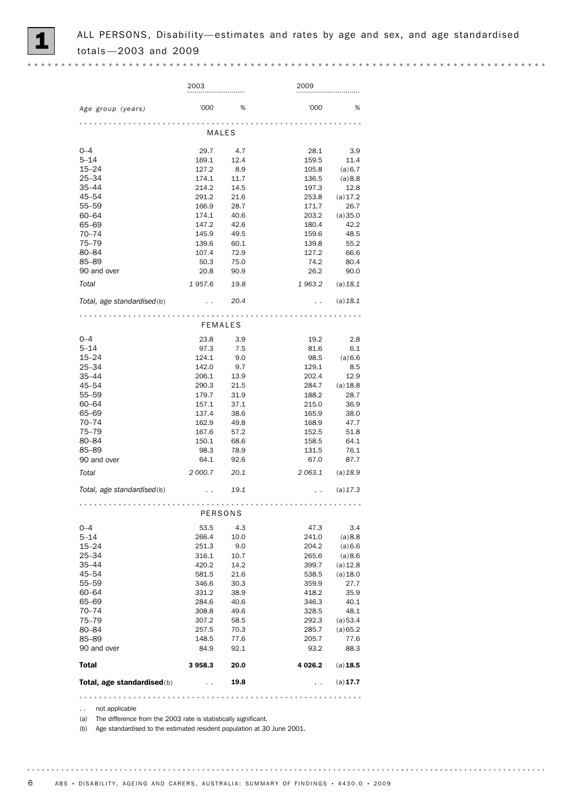

2003 2009 *'000 % '000 % Age group (years)* MALES 0–4 29.7 4.7 28.1 3.9 5–14 169.1 12.4 159.5 11.4 15–24 127.2 8.9 105.8 (a) 6.7<br>25–34 174.1 11.7 136.5 (a) 8.8 25–34 174.1 11.7 136.5 (a)8.8 35–44 214.2 14.5 197.3 12.8 45–54 291.2 21.6 253.8 (a)17.2 55–59 166.9 28.7 171.7 26.7 60–64 174.1 40.6 203.2 (a)35.0 65–69 147.2 42.6 180.4 42.2 70–74 145.9 49.5 159.6 48.5 75–79 139.6 60.1 139.8 55.2 80–84 107.4 72.9 127.2 66.6 85–89 50.3 75.0 74.2 80.4 90 and over 20.8 90.9 26.2 90.0 *Total 1 957.6 19.8 1 963.2* (a)*18.1 Total, age standardised*(b) . . *20.4* . . (a)*18.1* FEMALES 0–4 23.8 3.9 19.2 2.8 5–14 97.3 7.5 81.6 6.1 15–24 124.1 9.0 98.5 (a)6.6 25–34 142.0 9.7 129.1 8.5 35–44 206.1 13.9 202.4 12.9 45–54 290.3 21.5 284.7 (a)18.8 55–59 179.7 31.9 188.2 28.7 60–64 157.1 37.1 215.0 36.9 65–69 137.4 38.6 165.9 38.0 70–74 162.9 49.8 168.9 47.7 75–79 167.6 57.2 152.5 51.8 80–84 150.1 68.6 158.5 64.1 85–89 98.3 78.9 131.5 76.1 90 and over 64.1 92.6 67.0 87.7 *Total 2 000.7 20.1 2 063.1* (a)*18.9 Total, age standardised*(b) . . *19.1* . . (a)*17.3* PERSONS 0–4 53.5 4.3 47.3 3.4 5–14 266.4 10.0 241.0 (a)8.8 15–24 251.3 9.0 204.2 (a)6.6 25–34 316.1 10.7 265.6 (a)8.6 35–44 420.2 14.2 399.7 (a)12.8 45–54 581.5 21.6 538.5 (a)18.0 55–59 346.6 30.3 359.9 27.7 60–64 331.2 38.9 418.2 35.9 65–69 284.6 40.6 346.3 40.1 70–74 308.8 49.6 328.5 48.1 75–79 307.2 58.5 292.3 (a)53.4 80–84 257.5 70.3 285.7 (a)65.2 85–89 148.5 77.6 205.7 77.6 90 and over 84.9 92.1 93.2 88.3 Total 3958.3 20.0 4 026.2 (a) 18.5 Total, age standardised(b)  $\qquad \qquad 19.8$  . . . . (a)17.7

. . . . . . . . . . . . . . .

(a) The difference from the 2003 rate is statistically significant.

(b) Age standardised to the estimated resident population at 30 June 2001.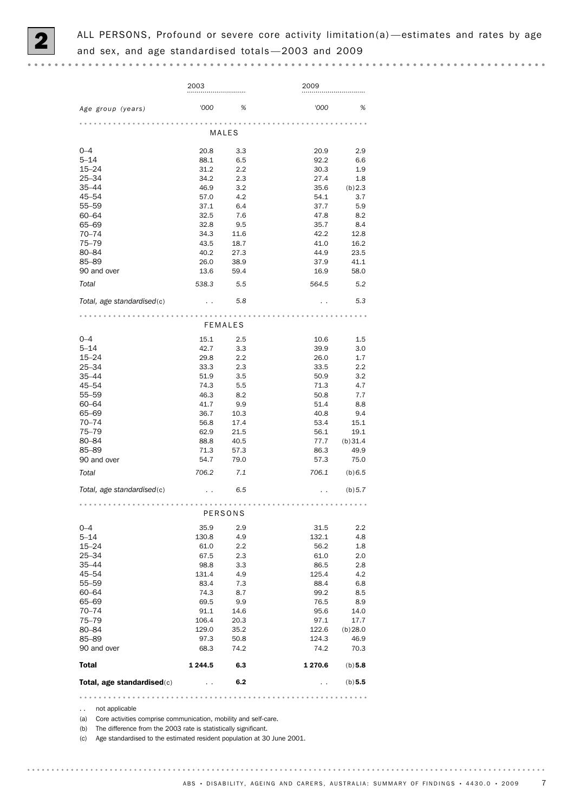

|                            | 2003                 |                | 2009                 |                 |
|----------------------------|----------------------|----------------|----------------------|-----------------|
| Age group (years)          | '000                 | %              | '000                 | %               |
|                            |                      | MALES          |                      |                 |
| $0 - 4$                    | 20.8                 | 3.3            | 20.9                 | 2.9             |
| $5 - 14$                   | 88.1                 | 6.5            | 92.2                 | 6.6             |
| $15 - 24$                  | 31.2                 | 2.2            | 30.3                 | 1.9             |
| $25 - 34$                  | 34.2                 | 2.3            | 27.4                 | 1.8             |
| $35 - 44$                  | 46.9                 | 3.2            | 35.6                 | (b) 2.3         |
| 45-54                      | 57.0                 | 4.2            | 54.1                 | 3.7             |
| 55-59                      | 37.1                 | 6.4            | 37.7                 | 5.9             |
| $60 - 64$                  | 32.5                 | 7.6            | 47.8                 | 8.2             |
| 65-69                      | 32.8                 | 9.5            | 35.7                 | 8.4             |
| $70 - 74$<br>$75 - 79$     | 34.3<br>43.5         | 11.6<br>18.7   | 42.2<br>41.0         | 12.8<br>16.2    |
| 80-84                      | 40.2                 | 27.3           | 44.9                 | 23.5            |
| 85-89                      | 26.0                 | 38.9           | 37.9                 | 41.1            |
| 90 and over                | 13.6                 | 59.4           | 16.9                 | 58.0            |
|                            |                      |                |                      |                 |
| Total                      | 538.3                | 5.5            | 564.5                | 5.2             |
| Total, age standardised(c) |                      | 5.8            |                      | 5.3             |
|                            |                      | <b>FEMALES</b> |                      |                 |
| $0 - 4$                    | 15.1                 | 2.5            | 10.6                 | 1.5             |
| $5 - 14$                   | 42.7                 | 3.3            | 39.9                 | 3.0             |
| $15 - 24$                  | 29.8                 | 2.2            | 26.0                 | 1.7             |
| $25 - 34$                  | 33.3                 | 2.3            | 33.5                 | 2.2             |
| $35 - 44$                  | 51.9                 | 3.5            | 50.9                 | 3.2             |
| 45-54                      | 74.3                 | 5.5            | 71.3                 | 4.7             |
| $55 - 59$                  | 46.3                 | 8.2            | 50.8                 | 7.7             |
| $60 - 64$                  | 41.7                 | 9.9            | 51.4                 | 8.8             |
| 65-69                      | 36.7                 | 10.3           | 40.8                 | 9.4             |
| 70–74                      | 56.8                 | 17.4           | 53.4                 | 15.1            |
| $75 - 79$<br>80-84         | 62.9<br>88.8         | 21.5<br>40.5   | 56.1<br>77.7         | 19.1            |
| 85-89                      | 71.3                 | 57.3           | 86.3                 | (b)31.4<br>49.9 |
| 90 and over                | 54.7                 | 79.0           | 57.3                 | 75.0            |
| Total                      | 706.2                | 7.1            | 706.1                | (b) 6.5         |
| Total, age standardised(c) |                      | 6.5            |                      | (b) 5.7         |
|                            |                      |                |                      |                 |
|                            |                      | PERSONS        |                      |                 |
| $0 - 4$                    | 35.9                 | 2.9            | 31.5                 | $2.2\,$         |
| $5 - 14$                   | 130.8                | 4.9            | 132.1                | 4.8             |
| $15 - 24$                  | 61.0                 | 2.2            | 56.2                 | 1.8             |
| $25 - 34$                  | 67.5                 | 2.3            | 61.0                 | 2.0             |
| $35 - 44$                  | 98.8                 | 3.3            | 86.5                 | 2.8             |
| $45 - 54$                  | 131.4                | 4.9            | 125.4                | 4.2             |
| 55-59                      | 83.4                 | 7.3            | 88.4                 | 6.8             |
| 60-64                      | 74.3                 | 8.7            | 99.2                 | 8.5             |
| 65-69                      | 69.5                 | 9.9            | 76.5                 | 8.9             |
| $70 - 74$                  | 91.1                 | 14.6           | 95.6                 | 14.0            |
| $75 - 79$<br>80-84         | 106.4<br>129.0       | 20.3<br>35.2   | 97.1<br>122.6        | 17.7<br>(b)28.0 |
| 85-89                      | 97.3                 | 50.8           | 124.3                | 46.9            |
| 90 and over                | 68.3                 | 74.2           | 74.2                 | 70.3            |
| <b>Total</b>               | 1 244.5              | 6.3            | 1 270.6              | (b) 5.8         |
| Total, age standardised(c) | $\ddot{\phantom{0}}$ | 6.2            | $\ddot{\phantom{0}}$ | (b) 5.5         |
|                            |                      |                |                      |                 |

. . not applicable

(a) Core activities comprise communication, mobility and self-care.

(b) The difference from the 2003 rate is statistically significant.

(c) Age standardised to the estimated resident population at 30 June 2001.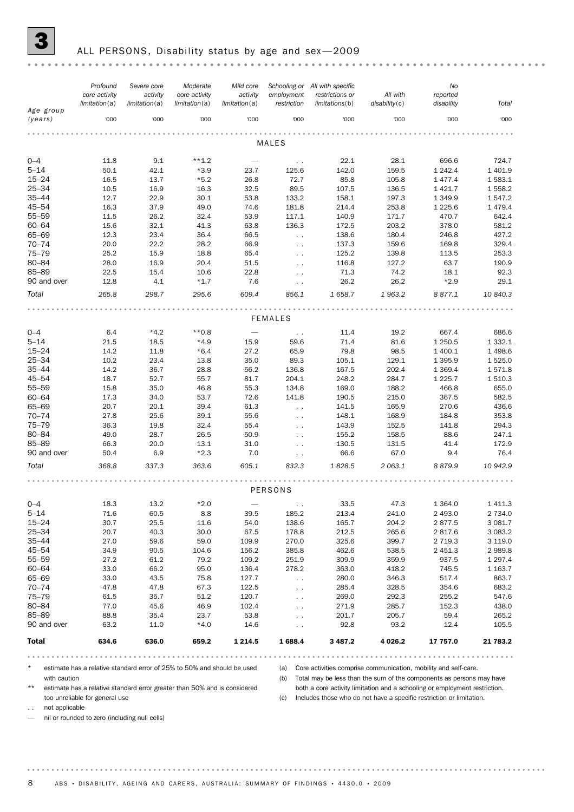

### ALL PERSONS, Disability status by age and sex-2009

|                      | Profound<br>core activity | Severe core<br>activity | Moderate<br>core activity | Mild core<br>activity    | employment          | Schooling or All with specific<br>restrictions or | All with              | No<br>reported     |               |  |  |  |
|----------------------|---------------------------|-------------------------|---------------------------|--------------------------|---------------------|---------------------------------------------------|-----------------------|--------------------|---------------|--|--|--|
| Age group<br>(years) | limitation(a)<br>'000     | limitation(a)<br>'000   | limitation(a)<br>'000     | limitation(a)<br>'000    | restriction<br>'000 | limitations(b)<br>'000                            | disability(c)<br>'000 | disability<br>'000 | Total<br>'000 |  |  |  |
|                      |                           |                         |                           |                          |                     |                                                   |                       |                    |               |  |  |  |
| <b>MALES</b>         |                           |                         |                           |                          |                     |                                                   |                       |                    |               |  |  |  |
| $0 - 4$              | 11.8                      | 9.1                     | $***1.2$                  | $\overline{\phantom{m}}$ | $\sim$ $\sim$       | 22.1                                              | 28.1                  | 696.6              | 724.7         |  |  |  |
| $5 - 14$             | 50.1                      | 42.1                    | $*3.9$                    | 23.7                     | 125.6               | 142.0                                             | 159.5                 | 1 2 4 2.4          | 1 401.9       |  |  |  |
| $15 - 24$            | 16.5                      | 13.7                    | $*5.2$                    | 26.8                     | 72.7                | 85.8                                              | 105.8                 | 1477.4             | 1583.1        |  |  |  |
| $25 - 34$            | 10.5                      | 16.9                    | 16.3                      | 32.5                     | 89.5                | 107.5                                             | 136.5                 | 1 4 2 1.7          | 1 558.2       |  |  |  |
| $35 - 44$            | 12.7                      | 22.9                    | 30.1                      | 53.8                     | 133.2               | 158.1                                             | 197.3                 | 1 3 4 9.9          | 1547.2        |  |  |  |
| $45 - 54$            | 16.3                      | 37.9                    | 49.0                      | 74.6                     | 181.8               | 214.4                                             | 253.8                 | 1 2 2 5.6          | 1479.4        |  |  |  |
| 55-59                | 11.5                      | 26.2                    | 32.4                      | 53.9                     | 117.1               | 140.9                                             | 171.7                 | 470.7              | 642.4         |  |  |  |
| $60 - 64$            | 15.6                      | 32.1                    | 41.3                      | 63.8                     | 136.3               | 172.5                                             | 203.2                 | 378.0              | 581.2         |  |  |  |
| 65-69                | 12.3                      | 23.4                    | 36.4                      | 66.5                     | $\sim$ $\sim$       | 138.6                                             | 180.4                 | 246.8              | 427.2         |  |  |  |
| $70 - 74$            | 20.0                      | 22.2                    | 28.2                      | 66.9                     | $\ddotsc$           | 137.3                                             | 159.6                 | 169.8              | 329.4         |  |  |  |
| $75 - 79$            | 25.2                      | 15.9                    | 18.8                      | 65.4                     | $\sim$ $\sim$       | 125.2                                             | 139.8                 | 113.5              | 253.3         |  |  |  |
| 80-84                | 28.0                      | 16.9                    | 20.4                      | 51.5                     | $\sim$ $\sim$       | 116.8                                             | 127.2                 | 63.7               | 190.9         |  |  |  |
| 85-89                | 22.5                      | 15.4                    | 10.6                      | 22.8                     | $\sim$ $\sim$       | 71.3                                              | 74.2                  | 18.1               | 92.3          |  |  |  |
| 90 and over          | 12.8                      | 4.1                     | $*1.7$                    | 7.6                      | $\sim$ $\sim$       | 26.2                                              | 26.2                  | $*2.9$             | 29.1          |  |  |  |
| Total                | 265.8                     | 298.7                   | 295.6                     | 609.4                    | 856.1               | 1 658.7                                           | 1963.2                | 8 877.1            | 10 840.3      |  |  |  |
|                      |                           |                         |                           |                          |                     |                                                   |                       |                    |               |  |  |  |
|                      |                           |                         |                           |                          | <b>FEMALES</b>      |                                                   |                       |                    |               |  |  |  |
| $0 - 4$              | 6.4                       | $*4.2$                  | $**0.8$                   | $\overline{\phantom{m}}$ | $\sim$ $\sim$       | 11.4                                              | 19.2                  | 667.4              | 686.6         |  |  |  |
| $5 - 14$             | 21.5                      | 18.5                    | $*4.9$                    | 15.9                     | 59.6                | 71.4                                              | 81.6                  | 1 250.5            | 1 3 3 2.1     |  |  |  |
| $15 - 24$            | 14.2                      | 11.8                    | $*6.4$                    | 27.2                     | 65.9                | 79.8                                              | 98.5                  | 1 400.1            | 1498.6        |  |  |  |
| $25 - 34$            | 10.2                      | 23.4                    | 13.8                      | 35.0                     | 89.3                | 105.1                                             | 129.1                 | 1 3 9 5.9          | 1525.0        |  |  |  |
| $35 - 44$            | 14.2                      | 36.7                    | 28.8                      | 56.2                     | 136.8               | 167.5                                             | 202.4                 | 1 3 6 9.4          | 1571.8        |  |  |  |
| 45-54                | 18.7                      | 52.7                    | 55.7                      | 81.7                     | 204.1               | 248.2                                             | 284.7                 | 1 2 2 5.7          | 1 510.3       |  |  |  |
| 55-59                | 15.8                      | 35.0                    | 46.8                      | 55.3                     | 134.8               | 169.0                                             | 188.2                 | 466.8              | 655.0         |  |  |  |
| $60 - 64$            | 17.3                      | 34.0                    | 53.7                      | 72.6                     | 141.8               | 190.5                                             | 215.0                 | 367.5              | 582.5         |  |  |  |
| 65-69                | 20.7                      | 20.1                    | 39.4                      | 61.3                     | $\ddotsc$           | 141.5                                             | 165.9                 | 270.6              | 436.6         |  |  |  |
| $70 - 74$            | 27.8                      | 25.6                    | 39.1                      | 55.6                     | $\sim$ $\sim$       | 148.1                                             | 168.9                 | 184.8              | 353.8         |  |  |  |
| $75 - 79$            | 36.3                      | 19.8                    | 32.4                      | 55.4                     | $\sim$ $\sim$       | 143.9                                             | 152.5                 | 141.8              | 294.3         |  |  |  |
| 80-84                | 49.0                      | 28.7                    | 26.5                      | 50.9                     | $\ddotsc$           | 155.2                                             | 158.5                 | 88.6               | 247.1         |  |  |  |
| 85-89                | 66.3                      | 20.0                    | 13.1                      | 31.0                     | $\ddotsc$           | 130.5                                             | 131.5                 | 41.4               | 172.9         |  |  |  |
| 90 and over          | 50.4                      | 6.9                     | $*2.3$                    | 7.0                      | $\sim$ $\sim$       | 66.6                                              | 67.0                  | 9.4                | 76.4          |  |  |  |
| Total                | 368.8                     | 337.3                   | 363.6                     | 605.1                    | 832.3               | 1828.5                                            | 2063.1                | 8879.9             | 10 942.9      |  |  |  |
|                      |                           |                         |                           |                          |                     |                                                   |                       |                    |               |  |  |  |
|                      |                           |                         |                           |                          | PERSONS             |                                                   |                       |                    |               |  |  |  |
| $0 - 4$              | 18.3                      | 13.2                    | $*2.0$                    |                          | $\sim$ $\sim$       | 33.5                                              | 47.3                  | 1 3 6 4 . 0        | 1 4 1 1.3     |  |  |  |
| $5 - 14$             | 71.6                      | 60.5                    | 8.8                       | 39.5                     | 185.2               | 213.4                                             | 241.0                 | 2 4 9 3.0          | 2 7 3 4 .0    |  |  |  |
| $15 - 24$            | 30.7                      | 25.5                    | 11.6                      | 54.0                     | 138.6               | 165.7                                             | 204.2                 | 2877.5             | 3 081.7       |  |  |  |
| $25 - 34$            | 20.7                      | 40.3                    | 30.0                      | 67.5                     | 178.8               | 212.5                                             | 265.6                 | 2817.6             | 3 0 8 3.2     |  |  |  |
| $35 - 44$            | 27.0                      | 59.6                    | 59.0                      | 109.9                    | 270.0               | 325.6                                             | 399.7                 | 2 7 1 9.3          | 3 1 1 9.0     |  |  |  |
| $45 - 54$            | 34.9                      | 90.5                    | 104.6                     | 156.2                    | 385.8               | 462.6                                             | 538.5                 | 2 4 5 1.3          | 2 9 8 9.8     |  |  |  |
| 55-59                | 27.2                      | 61.2                    | 79.2                      | 109.2                    | 251.9               | 309.9                                             | 359.9                 | 937.5              | 1 2 9 7 . 4   |  |  |  |
| $60 - 64$            | 33.0                      | 66.2                    | 95.0                      | 136.4                    | 278.2               | 363.0                                             | 418.2                 | 745.5              | 1 1 6 3 . 7   |  |  |  |
| 65-69                | 33.0                      | 43.5                    | 75.8                      | 127.7                    | $\sim$ $\sim$       | 280.0                                             | 346.3                 | 517.4              | 863.7         |  |  |  |
| $70 - 74$            | 47.8                      | 47.8                    | 67.3                      | 122.5                    | $\sim$              | 285.4                                             | 328.5                 | 354.6              | 683.2         |  |  |  |
| $75 - 79$            | 61.5                      | 35.7                    | 51.2                      | 120.7                    | . .                 | 269.0                                             | 292.3                 | 255.2              | 547.6         |  |  |  |
| 80-84                | 77.0                      | 45.6                    | 46.9                      | 102.4                    | $\sim$              | 271.9                                             | 285.7                 | 152.3              | 438.0         |  |  |  |
| 85-89                | 88.8                      | 35.4                    | 23.7                      | 53.8                     | $\ddotsc$           | 201.7                                             | 205.7                 | 59.4               | 265.2         |  |  |  |
| 90 and over          | 63.2                      | 11.0                    | $*4.0$                    | 14.6                     | $\ddotsc$           | 92.8                                              | 93.2                  | 12.4               | 105.5         |  |  |  |
| Total                | 634.6                     | 636.0                   | 659.2                     | 1 2 1 4 .5               | 1688.4              | 3 4 8 7 . 2                                       | 4 0 26.2              | 17 757.0           | 21 783.2      |  |  |  |
|                      |                           |                         |                           |                          |                     |                                                   |                       |                    |               |  |  |  |

estimate has a relative standard error of 25% to 50% and should be used with caution

(a) Core activities comprise communication, mobility and self-care.

(b) Total may be less than the sum of the components as persons may have both a core activity limitation and a schooling or employment restriction.

estimate has a relative standard error greater than 50% and is considered too unreliable for general use

(c) Includes those who do not have a specific restriction or limitation.

.. not applicable

. . . . . . . . .

— nil or rounded to zero (including null cells)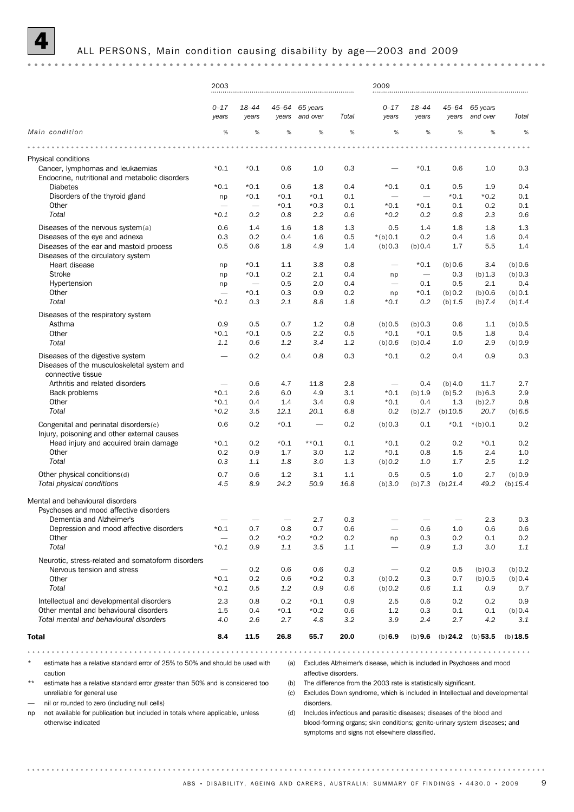### ALL PERSONS, Main condition causing disability by age-2003 and 2009

|                                                                                                            | 2003                                      |                                        |                                 |                            |                      | 2009                                                                                                                                                                                                |                          |                          |                                            |                  |
|------------------------------------------------------------------------------------------------------------|-------------------------------------------|----------------------------------------|---------------------------------|----------------------------|----------------------|-----------------------------------------------------------------------------------------------------------------------------------------------------------------------------------------------------|--------------------------|--------------------------|--------------------------------------------|------------------|
|                                                                                                            | $0 - 17$<br>years                         | 18-44<br>years                         | years                           | 45-64 65 years<br>and over | Total                | $0 - 17$<br>years                                                                                                                                                                                   | 18-44<br>years           | 45–64<br>years           | 65 years<br>and over                       | Total            |
| Main condition                                                                                             | %                                         | $\%$                                   | %                               | %                          | $\%$                 | %                                                                                                                                                                                                   | $\%$                     | %                        | %                                          | %                |
|                                                                                                            |                                           |                                        |                                 |                            |                      |                                                                                                                                                                                                     |                          |                          |                                            |                  |
| Physical conditions                                                                                        |                                           |                                        |                                 |                            |                      |                                                                                                                                                                                                     |                          |                          |                                            |                  |
| Cancer, lymphomas and leukaemias<br>Endocrine, nutritional and metabolic disorders                         | $*0.1$                                    | $*0.1$                                 | 0.6                             | 1.0                        | 0.3                  |                                                                                                                                                                                                     | $*0.1$                   | 0.6                      | 1.0                                        | 0.3              |
| <b>Diabetes</b>                                                                                            | $*0.1$                                    | $*0.1$                                 | 0.6                             | 1.8                        | 0.4                  | $*0.1$                                                                                                                                                                                              | 0.1                      | 0.5                      | 1.9                                        | 0.4              |
| Disorders of the thyroid gland                                                                             | np                                        | $*0.1$                                 | $*0.1$                          | $*0.1$                     | 0.1                  | $\overline{\phantom{m}}$                                                                                                                                                                            | $\overline{\phantom{m}}$ | $*0.1$                   | $*0.2$                                     | 0.1              |
| Other<br>Total                                                                                             | $\overbrace{\phantom{1232211}}$<br>$*0.1$ | $\overbrace{\phantom{1232211}}$<br>0.2 | $*0.1$<br>0.8                   | $*0.3$<br>2.2              | 0.1<br>0.6           | $*0.1$<br>$*0.2$                                                                                                                                                                                    | $*0.1$<br>0.2            | 0.1<br>0.8               | 0.2<br>2.3                                 | 0.1<br>0.6       |
|                                                                                                            |                                           |                                        |                                 |                            |                      |                                                                                                                                                                                                     |                          |                          |                                            | 1.3              |
| Diseases of the nervous system(a)<br>Diseases of the eye and adnexa                                        | 0.6<br>0.3                                | 1.4<br>0.2                             | 1.6<br>0.4                      | 1.8<br>1.6                 | 1.3<br>0.5           | 0.5<br>$*(b)0.1$                                                                                                                                                                                    | 1.4<br>0.2               | 1.8<br>0.4               | 1.8<br>1.6                                 | 0.4              |
| Diseases of the ear and mastoid process<br>Diseases of the circulatory system                              | 0.5                                       | 0.6                                    | 1.8                             | 4.9                        | 1.4                  | (b) 0.3                                                                                                                                                                                             | (b) 0.4                  | 1.7                      | 5.5                                        | 1.4              |
| Heart disease                                                                                              | np                                        | $*0.1$                                 | 1.1                             | 3.8                        | 0.8                  | $\overline{\phantom{0}}$                                                                                                                                                                            | $*0.1$                   | (b) 0.6                  | 3.4                                        | (b)0.6           |
| <b>Stroke</b>                                                                                              | np                                        | $*0.1$                                 | 0.2                             | 2.1                        | 0.4                  | np                                                                                                                                                                                                  | $\overline{\phantom{m}}$ | 0.3                      | (b) 1.3                                    | (b) 0.3          |
| Hypertension                                                                                               | np                                        | $\overbrace{\phantom{1232211}}$        | 0.5                             | 2.0                        | 0.4                  | $\overline{\phantom{0}}$                                                                                                                                                                            | 0.1                      | 0.5                      | 2.1                                        | 0.4              |
| Other                                                                                                      | $\overbrace{\phantom{1232211}}$           | $*0.1$                                 | 0.3                             | 0.9                        | 0.2                  | np                                                                                                                                                                                                  | $*0.1$                   | (b) 0.2                  | (b)0.6                                     | (b) 0.1          |
| Total                                                                                                      | $*0.1$                                    | 0.3                                    | 2.1                             | 8.8                        | 1.8                  | $*0.1$                                                                                                                                                                                              | 0.2                      | (b) 1.5                  | (b) 7.4                                    | (b) 1.4          |
| Diseases of the respiratory system                                                                         |                                           |                                        |                                 |                            |                      |                                                                                                                                                                                                     |                          |                          |                                            |                  |
| Asthma                                                                                                     | 0.9                                       | 0.5                                    | 0.7                             | 1.2                        | 0.8                  | (b) 0.5                                                                                                                                                                                             | (b) 0.3                  | 0.6                      | 1.1                                        | (b)0.5           |
| Other<br>Total                                                                                             | $*0.1$<br>1.1                             | $*0.1$                                 | 0.5                             | 2.2<br>3.4                 | 0.5                  | $*0.1$                                                                                                                                                                                              | $*0.1$                   | 0.5                      | 1.8<br>2.9                                 | 0.4              |
|                                                                                                            |                                           | 0.6                                    | 1.2                             |                            | 1.2                  | (b) 0.6                                                                                                                                                                                             | (b) 0.4                  | 1.0                      |                                            | (b) 0.9          |
| Diseases of the digestive system<br>Diseases of the musculoskeletal system and<br>connective tissue        |                                           | 0.2                                    | 0.4                             | 0.8                        | 0.3                  | $*0.1$                                                                                                                                                                                              | 0.2                      | 0.4                      | 0.9                                        | 0.3              |
| Arthritis and related disorders                                                                            | $\qquad \qquad$                           | 0.6                                    | 4.7                             | 11.8                       | 2.8                  | —                                                                                                                                                                                                   | 0.4                      | (b)4.0                   | 11.7                                       | 2.7              |
| Back problems                                                                                              | $*0.1$                                    | 2.6                                    | 6.0                             | 4.9                        | 3.1                  | $*0.1$                                                                                                                                                                                              | (b) 1.9                  | (b) 5.2                  | (b) 6.3                                    | 2.9              |
| Other                                                                                                      | $*0.1$                                    | 0.4                                    | 1.4                             | 3.4                        | 0.9                  | $*0.1$                                                                                                                                                                                              | 0.4                      | 1.3                      | (b) 2.7                                    | 0.8              |
| Total                                                                                                      | $*0.2$                                    | 3.5                                    | 12.1                            | 20.1                       | 6.8                  | 0.2                                                                                                                                                                                                 | (b) 2.7                  | (b) 10.5                 | 20.7                                       | (b) 6.5          |
| Congenital and perinatal disorders(c)<br>Injury, poisoning and other external causes                       | 0.6                                       | 0.2                                    | $*0.1$                          |                            | 0.2                  | (b) 0.3                                                                                                                                                                                             | 0.1                      | $*0.1$                   | $*(b)0.1$                                  | 0.2              |
| Head injury and acquired brain damage                                                                      | $*0.1$                                    | 0.2                                    | $*0.1$                          | $**0.1$                    | 0.1                  | $*0.1$                                                                                                                                                                                              | 0.2                      | 0.2                      | $*0.1$                                     | 0.2              |
| Other                                                                                                      | 0.2                                       | 0.9                                    | 1.7                             | 3.0                        | 1.2                  | $*0.1$                                                                                                                                                                                              | 0.8                      | 1.5                      | 2.4                                        | 1.0              |
| Total                                                                                                      | 0.3                                       | 1.1                                    | 1.8                             | 3.0                        | 1.3                  | (b) 0.2                                                                                                                                                                                             | 1.0                      | 1.7                      | 2.5                                        | 1.2              |
| Other physical conditions(d)                                                                               | 0.7                                       | 0.6                                    | 1.2                             | 3.1                        | 1.1                  | 0.5                                                                                                                                                                                                 | 0.5                      | 1.0                      | 2.7                                        | (b)0.9           |
| Total physical conditions                                                                                  | 4.5                                       | 8.9                                    | 24.2                            | 50.9                       | 16.8                 | (b)3.0                                                                                                                                                                                              | (b) 7.3                  | $(b)$ 21.4               | 49.2                                       | (b) 15.4         |
| Mental and behavioural disorders<br>Psychoses and mood affective disorders                                 |                                           |                                        |                                 |                            |                      |                                                                                                                                                                                                     |                          |                          |                                            |                  |
| Dementia and Alzheimer's                                                                                   | $\hspace{0.1mm}-\hspace{0.1mm}$           |                                        | $\hspace{0.1mm}-\hspace{0.1mm}$ | 2.7                        | 0.3                  |                                                                                                                                                                                                     |                          | $\overline{\phantom{0}}$ | 2.3                                        | 0.3              |
| Depression and mood affective disorders                                                                    | $*0.1$                                    | 0.7                                    | 0.8                             | 0.7                        | 0.6                  |                                                                                                                                                                                                     | 0.6                      | 1.0                      | 0.6                                        | 0.6              |
| Other<br>Total                                                                                             | $\overline{\phantom{0}}$<br>$*0.1$        | 0.2<br>0.9                             | $*0.2$<br>1.1                   | $*0.2$<br>3.5              | 0.2                  | np                                                                                                                                                                                                  | 0.3<br>0.9               | 0.2                      | 0.1<br>3.0                                 | 0.2              |
|                                                                                                            |                                           |                                        |                                 |                            | 1.1                  |                                                                                                                                                                                                     |                          | 1.3                      |                                            | 1.1              |
| Neurotic, stress-related and somatoform disorders<br>Nervous tension and stress                            |                                           |                                        |                                 |                            |                      |                                                                                                                                                                                                     |                          |                          |                                            |                  |
| Other                                                                                                      | $\overline{\phantom{m}}$<br>$*0.1$        | 0.2<br>0.2                             | 0.6<br>0.6                      | 0.6<br>$*0.2$              | 0.3<br>0.3           | $\overline{\phantom{0}}$<br>(b) 0.2                                                                                                                                                                 | 0.2<br>0.3               | 0.5<br>0.7               | (b) 0.3<br>(b) 0.5                         | (b)0.2<br>(b)0.4 |
| Total                                                                                                      | $*0.1$                                    | 0.5                                    | 1.2                             | 0.9                        | 0.6                  | (b) 0.2                                                                                                                                                                                             | 0.6                      | 1.1                      | 0.9                                        | 0.7              |
|                                                                                                            |                                           |                                        |                                 |                            |                      |                                                                                                                                                                                                     |                          |                          |                                            |                  |
| Intellectual and developmental disorders<br>Other mental and behavioural disorders                         | 2.3<br>1.5                                | 0.8                                    | 0.2                             | $*0.1$                     | 0.9                  | 2.5<br>1.2                                                                                                                                                                                          | 0.6                      | 0.2                      | 0.2                                        | 0.9              |
| Total mental and behavioural disorders                                                                     | 4.0                                       | 0.4<br>2.6                             | $*0.1$<br>2.7                   | $*0.2$<br>4.8              | 0.6<br>3.2           | 3.9                                                                                                                                                                                                 | 0.3<br>2.4               | 0.1<br>2.7               | 0.1<br>4.2                                 | (b)0.4<br>3.1    |
|                                                                                                            |                                           |                                        |                                 |                            |                      |                                                                                                                                                                                                     |                          |                          |                                            |                  |
| <b>Total</b>                                                                                               | 8.4                                       | 11.5                                   | 26.8                            | 55.7                       | 20.0                 | (b) 6.9                                                                                                                                                                                             |                          |                          | (b) $9.6$ (b) $24.2$ (b) $53.5$ (b) $18.5$ |                  |
|                                                                                                            |                                           |                                        |                                 |                            |                      |                                                                                                                                                                                                     |                          |                          |                                            |                  |
| estimate has a relative standard error of 25% to 50% and should be used with<br>caution                    |                                           |                                        | (a)                             |                            | affective disorders. | Excludes Alzheimer's disease, which is included in Psychoses and mood                                                                                                                               |                          |                          |                                            |                  |
| $***$<br>estimate has a relative standard error greater than 50% and is considered too                     |                                           |                                        | (b)                             |                            |                      | The difference from the 2003 rate is statistically significant.                                                                                                                                     |                          |                          |                                            |                  |
| unreliable for general use                                                                                 |                                           |                                        | (c)                             |                            |                      | Excludes Down syndrome, which is included in Intellectual and developmental                                                                                                                         |                          |                          |                                            |                  |
| nil or rounded to zero (including null cells)                                                              |                                           |                                        |                                 | disorders.                 |                      |                                                                                                                                                                                                     |                          |                          |                                            |                  |
| not available for publication but included in totals where applicable, unless<br>np<br>otherwise indicated |                                           |                                        | (d)                             |                            |                      | Includes infectious and parasitic diseases; diseases of the blood and<br>blood-forming organs; skin conditions; genito-urinary system diseases; and<br>symptoms and signs not elsewhere classified. |                          |                          |                                            |                  |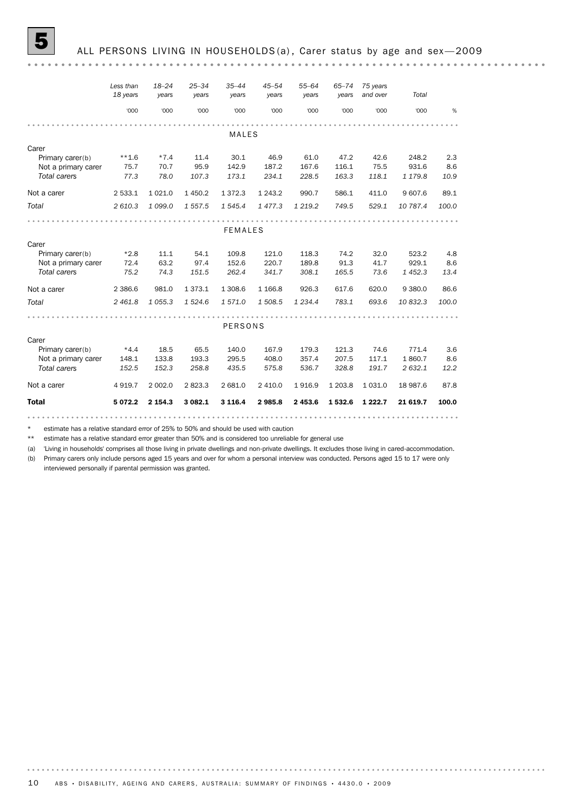### ALL PERSONS LIVING IN HOUSEHOLDS (a), Carer status by age and sex-2009

|                     | Less than<br>18 years | $18 - 24$<br>years | $25 - 34$<br>years | $35 - 44$<br>years | $45 - 54$<br>years | $55 - 64$<br>years | $65 - 74$<br>years | 75 years<br>and over | Total     |       |
|---------------------|-----------------------|--------------------|--------------------|--------------------|--------------------|--------------------|--------------------|----------------------|-----------|-------|
|                     | '000                  | '000               | '000               | '000               | '000               | '000               | '000               | '000                 | '000      | %     |
|                     |                       |                    |                    |                    |                    |                    |                    |                      |           |       |
|                     |                       |                    |                    | <b>MALES</b>       |                    |                    |                    |                      |           |       |
| Carer               |                       |                    |                    |                    |                    |                    |                    |                      |           |       |
| Primary carer(b)    | $***1.6$              | $*7.4$             | 11.4               | 30.1               | 46.9               | 61.0               | 47.2               | 42.6                 | 248.2     | 2.3   |
| Not a primary carer | 75.7                  | 70.7               | 95.9               | 142.9              | 187.2              | 167.6              | 116.1              | 75.5                 | 931.6     | 8.6   |
| Total carers        | 77.3                  | 78.0               | 107.3              | 173.1              | 234.1              | 228.5              | 163.3              | 118.1                | 1 179.8   | 10.9  |
| Not a carer         | 2 533.1               | 1 0 2 1 .0         | 1 4 5 0.2          | 1 3 7 2 . 3        | 1 2 4 3 . 2        | 990.7              | 586.1              | 411.0                | 9 607.6   | 89.1  |
| Total               | 2 610.3               | 1 0 9 9.0          | 1 557.5            | 1 545.4            | 1477.3             | 1 2 1 9 . 2        | 749.5              | 529.1                | 10 787.4  | 100.0 |
|                     |                       |                    |                    |                    |                    |                    |                    |                      |           |       |
|                     |                       |                    |                    | <b>FEMALES</b>     |                    |                    |                    |                      |           |       |
| Carer               |                       |                    |                    |                    |                    |                    |                    |                      |           |       |
| Primary carer(b)    | $*2.8$                | 11.1               | 54.1               | 109.8              | 121.0              | 118.3              | 74.2               | 32.0                 | 523.2     | 4.8   |
| Not a primary carer | 72.4                  | 63.2               | 97.4               | 152.6              | 220.7              | 189.8              | 91.3               | 41.7                 | 929.1     | 8.6   |
| Total carers        | 75.2                  | 74.3               | 151.5              | 262.4              | 341.7              | 308.1              | 165.5              | 73.6                 | 1452.3    | 13.4  |
| Not a carer         | 2 3 8 6.6             | 981.0              | 1373.1             | 1 308.6            | 1 1 66.8           | 926.3              | 617.6              | 620.0                | 9 3 8 0.0 | 86.6  |
| Total               | 2 4 6 1.8             | 1 0 5 5 . 3        | 1 5 24.6           | 1571.0             | 1 508.5            | 1 2 3 4 . 4        | 783.1              | 693.6                | 10832.3   | 100.0 |
|                     |                       |                    |                    |                    |                    |                    |                    |                      |           |       |
|                     |                       |                    |                    | PERSONS            |                    |                    |                    |                      |           |       |
| Carer               |                       |                    |                    |                    |                    |                    |                    |                      |           |       |
| Primary carer(b)    | $*4.4$                | 18.5               | 65.5               | 140.0              | 167.9              | 179.3              | 121.3              | 74.6                 | 771.4     | 3.6   |
| Not a primary carer | 148.1                 | 133.8              | 193.3              | 295.5              | 408.0              | 357.4              | 207.5              | 117.1                | 1860.7    | 8.6   |
| <b>Total carers</b> | 152.5                 | 152.3              | 258.8              | 435.5              | 575.8              | 536.7              | 328.8              | 191.7                | 2 632.1   | 12.2  |
| Not a carer         | 4 9 19.7              | 2 002.0            | 2823.3             | 2 681.0            | 2 410.0            | 1916.9             | 1 203.8            | 1 0 3 1 .0           | 18 987.6  | 87.8  |
| <b>Total</b>        | 5 0 7 2 . 2           | 2 154.3            | 3 082.1            | 3 1 1 6.4          | 2985.8             | 2 453.6            | 1532.6             | 1 2 2 2.7            | 21 619.7  | 100.0 |
|                     |                       |                    |                    |                    |                    |                    |                    |                      |           |       |

estimate has a relative standard error of 25% to 50% and should be used with caution

\*\* estimate has a relative standard error greater than 50% and is considered too unreliable for general use

(a) 'Living in households' comprises all those living in private dwellings and non-private dwellings. It excludes those living in cared-accommodation.

(b) Primary carers only include persons aged 15 years and over for whom a personal interview was conducted. Persons aged 15 to 17 were only interviewed personally if parental permission was granted.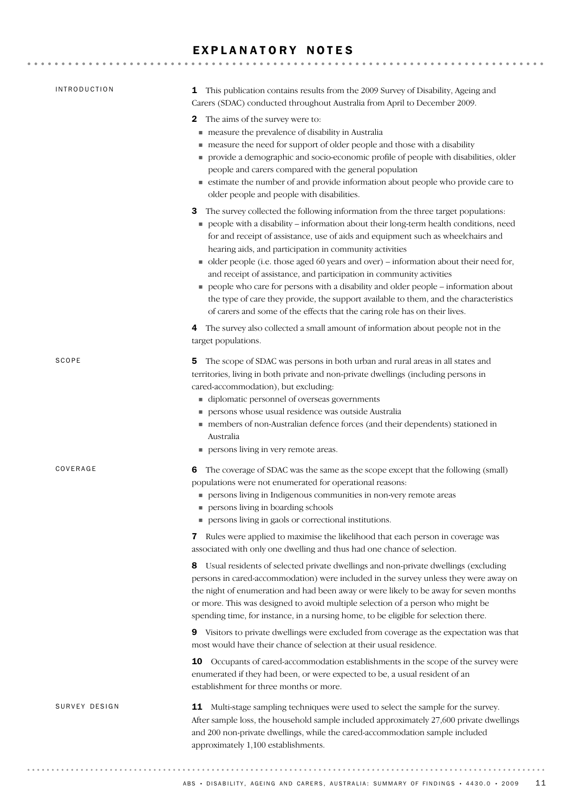## EXPLANATORY NOTES

| <b>INTRODUCTION</b> | This publication contains results from the 2009 Survey of Disability, Ageing and<br>$\mathbf{1}$<br>Carers (SDAC) conducted throughout Australia from April to December 2009.                                                                                                                                                                                                                                                                                                                                                                                                                                                                                                                                                                                                                                                                                                                                                                                                                                                                   |
|---------------------|-------------------------------------------------------------------------------------------------------------------------------------------------------------------------------------------------------------------------------------------------------------------------------------------------------------------------------------------------------------------------------------------------------------------------------------------------------------------------------------------------------------------------------------------------------------------------------------------------------------------------------------------------------------------------------------------------------------------------------------------------------------------------------------------------------------------------------------------------------------------------------------------------------------------------------------------------------------------------------------------------------------------------------------------------|
|                     | 2 The aims of the survey were to:<br>measure the prevalence of disability in Australia<br>measure the need for support of older people and those with a disability<br>provide a demographic and socio-economic profile of people with disabilities, older<br>people and carers compared with the general population<br>■ estimate the number of and provide information about people who provide care to<br>older people and people with disabilities.<br>The survey collected the following information from the three target populations:<br>3<br>people with a disability - information about their long-term health conditions, need<br>for and receipt of assistance, use of aids and equipment such as wheelchairs and<br>hearing aids, and participation in community activities<br>• older people (i.e. those aged 60 years and over) – information about their need for,<br>and receipt of assistance, and participation in community activities<br>people who care for persons with a disability and older people – information about |
|                     | the type of care they provide, the support available to them, and the characteristics<br>of carers and some of the effects that the caring role has on their lives.<br>The survey also collected a small amount of information about people not in the<br>4<br>target populations.                                                                                                                                                                                                                                                                                                                                                                                                                                                                                                                                                                                                                                                                                                                                                              |
| SCOPE               | The scope of SDAC was persons in both urban and rural areas in all states and<br>5.<br>territories, living in both private and non-private dwellings (including persons in<br>cared-accommodation), but excluding:<br>■ diplomatic personnel of overseas governments<br>persons whose usual residence was outside Australia<br>members of non-Australian defence forces (and their dependents) stationed in<br>Australia<br>persons living in very remote areas.                                                                                                                                                                                                                                                                                                                                                                                                                                                                                                                                                                                |
| COVERAGE            | The coverage of SDAC was the same as the scope except that the following (small)<br>6<br>populations were not enumerated for operational reasons:<br>persons living in Indigenous communities in non-very remote areas<br>persons living in boarding schools<br>persons living in gaols or correctional institutions.                                                                                                                                                                                                                                                                                                                                                                                                                                                                                                                                                                                                                                                                                                                           |
|                     | 7 Rules were applied to maximise the likelihood that each person in coverage was<br>associated with only one dwelling and thus had one chance of selection.                                                                                                                                                                                                                                                                                                                                                                                                                                                                                                                                                                                                                                                                                                                                                                                                                                                                                     |
|                     | 8 Usual residents of selected private dwellings and non-private dwellings (excluding<br>persons in cared-accommodation) were included in the survey unless they were away on<br>the night of enumeration and had been away or were likely to be away for seven months<br>or more. This was designed to avoid multiple selection of a person who might be<br>spending time, for instance, in a nursing home, to be eligible for selection there.                                                                                                                                                                                                                                                                                                                                                                                                                                                                                                                                                                                                 |
|                     | 9 Visitors to private dwellings were excluded from coverage as the expectation was that<br>most would have their chance of selection at their usual residence.                                                                                                                                                                                                                                                                                                                                                                                                                                                                                                                                                                                                                                                                                                                                                                                                                                                                                  |
|                     | Occupants of cared-accommodation establishments in the scope of the survey were<br>10<br>enumerated if they had been, or were expected to be, a usual resident of an<br>establishment for three months or more.                                                                                                                                                                                                                                                                                                                                                                                                                                                                                                                                                                                                                                                                                                                                                                                                                                 |
| SURVEY DESIGN       | Multi-stage sampling techniques were used to select the sample for the survey.<br>11<br>After sample loss, the household sample included approximately 27,600 private dwellings<br>and 200 non-private dwellings, while the cared-accommodation sample included                                                                                                                                                                                                                                                                                                                                                                                                                                                                                                                                                                                                                                                                                                                                                                                 |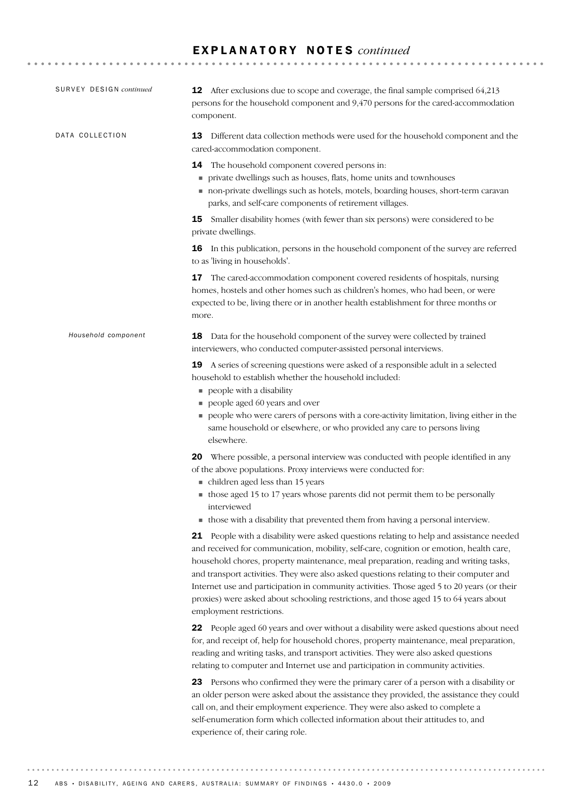| SURVEY DESIGN continued | <b>12</b> After exclusions due to scope and coverage, the final sample comprised 64,213<br>persons for the household component and 9,470 persons for the cared-accommodation<br>component.                                                                                                                                                                                                                                                                                                                                                                                                  |
|-------------------------|---------------------------------------------------------------------------------------------------------------------------------------------------------------------------------------------------------------------------------------------------------------------------------------------------------------------------------------------------------------------------------------------------------------------------------------------------------------------------------------------------------------------------------------------------------------------------------------------|
| DATA COLLECTION         | Different data collection methods were used for the household component and the<br>13<br>cared-accommodation component.                                                                                                                                                                                                                                                                                                                                                                                                                                                                     |
|                         | The household component covered persons in:<br>14<br>private dwellings such as houses, flats, home units and townhouses<br>non-private dwellings such as hotels, motels, boarding houses, short-term caravan<br>parks, and self-care components of retirement villages.                                                                                                                                                                                                                                                                                                                     |
|                         | Smaller disability homes (with fewer than six persons) were considered to be<br>15<br>private dwellings.                                                                                                                                                                                                                                                                                                                                                                                                                                                                                    |
|                         | <b>16</b> In this publication, persons in the household component of the survey are referred<br>to as 'living in households'.                                                                                                                                                                                                                                                                                                                                                                                                                                                               |
|                         | The cared-accommodation component covered residents of hospitals, nursing<br>17<br>homes, hostels and other homes such as children's homes, who had been, or were<br>expected to be, living there or in another health establishment for three months or<br>more.                                                                                                                                                                                                                                                                                                                           |
| Household component     | Data for the household component of the survey were collected by trained<br>18<br>interviewers, who conducted computer-assisted personal interviews.                                                                                                                                                                                                                                                                                                                                                                                                                                        |
|                         | A series of screening questions were asked of a responsible adult in a selected<br>19<br>household to establish whether the household included:<br>people with a disability<br>people aged 60 years and over<br>people who were carers of persons with a core-activity limitation, living either in the<br>same household or elsewhere, or who provided any care to persons living<br>elsewhere.                                                                                                                                                                                            |
|                         | <b>20</b> Where possible, a personal interview was conducted with people identified in any<br>of the above populations. Proxy interviews were conducted for:<br>children aged less than 15 years<br>those aged 15 to 17 years whose parents did not permit them to be personally<br>interviewed<br>• those with a disability that prevented them from having a personal interview.                                                                                                                                                                                                          |
|                         | People with a disability were asked questions relating to help and assistance needed<br>21<br>and received for communication, mobility, self-care, cognition or emotion, health care,<br>household chores, property maintenance, meal preparation, reading and writing tasks,<br>and transport activities. They were also asked questions relating to their computer and<br>Internet use and participation in community activities. Those aged 5 to 20 years (or their<br>proxies) were asked about schooling restrictions, and those aged 15 to 64 years about<br>employment restrictions. |
|                         | 22 People aged 60 years and over without a disability were asked questions about need<br>for, and receipt of, help for household chores, property maintenance, meal preparation,<br>reading and writing tasks, and transport activities. They were also asked questions<br>relating to computer and Internet use and participation in community activities.                                                                                                                                                                                                                                 |
|                         | 23 Persons who confirmed they were the primary carer of a person with a disability or<br>an older person were asked about the assistance they provided, the assistance they could<br>call on, and their employment experience. They were also asked to complete a<br>self-enumeration form which collected information about their attitudes to, and<br>experience of, their caring role.                                                                                                                                                                                                   |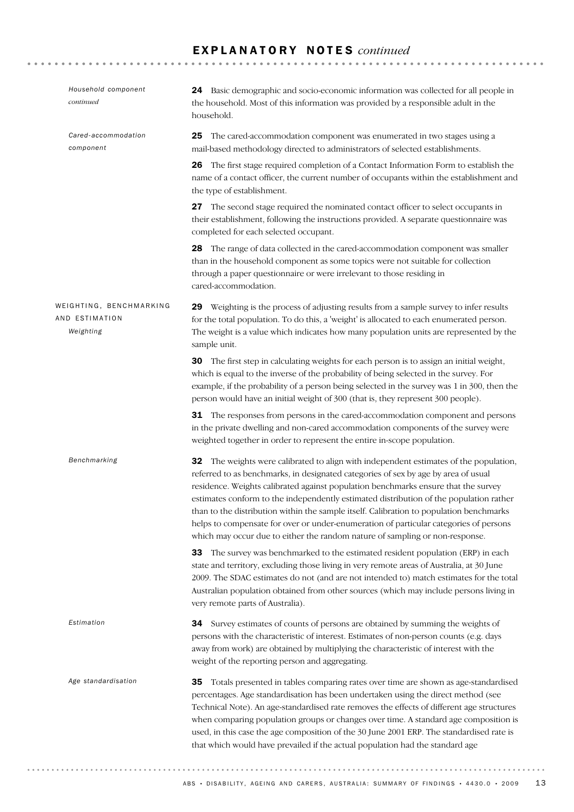| Household component<br>continued                       | <b>24</b> Basic demographic and socio-economic information was collected for all people in<br>the household. Most of this information was provided by a responsible adult in the<br>household.                                                                                                                                                                                                                                                                                                                                                                                                                                     |
|--------------------------------------------------------|------------------------------------------------------------------------------------------------------------------------------------------------------------------------------------------------------------------------------------------------------------------------------------------------------------------------------------------------------------------------------------------------------------------------------------------------------------------------------------------------------------------------------------------------------------------------------------------------------------------------------------|
| Cared-accommodation<br>component                       | The cared-accommodation component was enumerated in two stages using a<br>25<br>mail-based methodology directed to administrators of selected establishments.                                                                                                                                                                                                                                                                                                                                                                                                                                                                      |
|                                                        | The first stage required completion of a Contact Information Form to establish the<br>26<br>name of a contact officer, the current number of occupants within the establishment and<br>the type of establishment.                                                                                                                                                                                                                                                                                                                                                                                                                  |
|                                                        | 27 The second stage required the nominated contact officer to select occupants in<br>their establishment, following the instructions provided. A separate questionnaire was<br>completed for each selected occupant.                                                                                                                                                                                                                                                                                                                                                                                                               |
|                                                        | 28 The range of data collected in the cared-accommodation component was smaller<br>than in the household component as some topics were not suitable for collection<br>through a paper questionnaire or were irrelevant to those residing in<br>cared-accommodation.                                                                                                                                                                                                                                                                                                                                                                |
| WEIGHTING, BENCHMARKING<br>AND ESTIMATION<br>Weighting | 29 Weighting is the process of adjusting results from a sample survey to infer results<br>for the total population. To do this, a 'weight' is allocated to each enumerated person.<br>The weight is a value which indicates how many population units are represented by the<br>sample unit.                                                                                                                                                                                                                                                                                                                                       |
|                                                        | <b>30</b> The first step in calculating weights for each person is to assign an initial weight,<br>which is equal to the inverse of the probability of being selected in the survey. For<br>example, if the probability of a person being selected in the survey was 1 in 300, then the<br>person would have an initial weight of 300 (that is, they represent 300 people).                                                                                                                                                                                                                                                        |
|                                                        | 31 The responses from persons in the cared-accommodation component and persons<br>in the private dwelling and non-cared accommodation components of the survey were<br>weighted together in order to represent the entire in-scope population.                                                                                                                                                                                                                                                                                                                                                                                     |
| Benchmarking                                           | The weights were calibrated to align with independent estimates of the population,<br>32<br>referred to as benchmarks, in designated categories of sex by age by area of usual<br>residence. Weights calibrated against population benchmarks ensure that the survey<br>estimates conform to the independently estimated distribution of the population rather<br>than to the distribution within the sample itself. Calibration to population benchmarks<br>helps to compensate for over or under-enumeration of particular categories of persons<br>which may occur due to either the random nature of sampling or non-response. |
|                                                        | The survey was benchmarked to the estimated resident population (ERP) in each<br>33<br>state and territory, excluding those living in very remote areas of Australia, at 30 June<br>2009. The SDAC estimates do not (and are not intended to) match estimates for the total<br>Australian population obtained from other sources (which may include persons living in<br>very remote parts of Australia).                                                                                                                                                                                                                          |
| Estimation                                             | 34 Survey estimates of counts of persons are obtained by summing the weights of<br>persons with the characteristic of interest. Estimates of non-person counts (e.g. days<br>away from work) are obtained by multiplying the characteristic of interest with the<br>weight of the reporting person and aggregating.                                                                                                                                                                                                                                                                                                                |
| Age standardisation                                    | Totals presented in tables comparing rates over time are shown as age-standardised<br>35<br>percentages. Age standardisation has been undertaken using the direct method (see<br>Technical Note). An age-standardised rate removes the effects of different age structures<br>when comparing population groups or changes over time. A standard age composition is<br>used, in this case the age composition of the 30 June 2001 ERP. The standardised rate is<br>that which would have prevailed if the actual population had the standard age                                                                                    |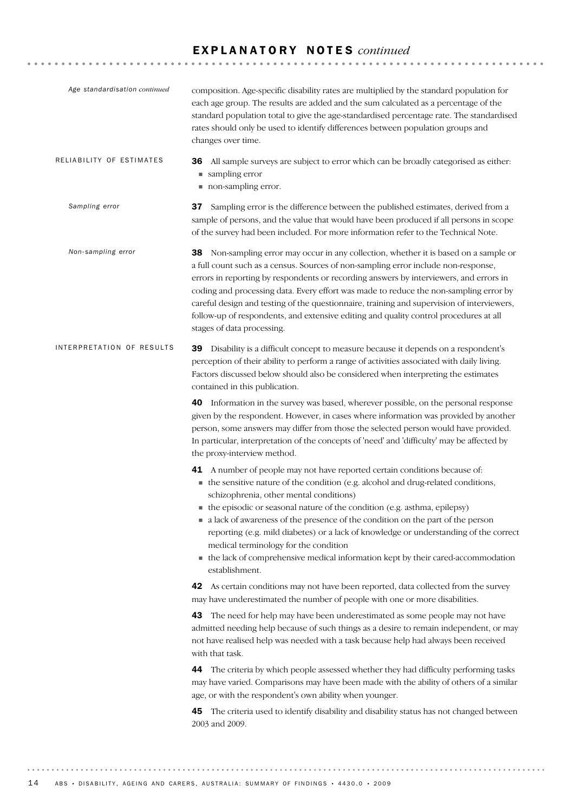| Age standardisation continued | composition. Age-specific disability rates are multiplied by the standard population for<br>each age group. The results are added and the sum calculated as a percentage of the<br>standard population total to give the age-standardised percentage rate. The standardised<br>rates should only be used to identify differences between population groups and<br>changes over time.                                                                                                                                                                                                                                                                                                                                                                                                                                                                                                                                                                                                                                                                                                                                                                                                                                                                                                                                                                                                                                                                               |
|-------------------------------|--------------------------------------------------------------------------------------------------------------------------------------------------------------------------------------------------------------------------------------------------------------------------------------------------------------------------------------------------------------------------------------------------------------------------------------------------------------------------------------------------------------------------------------------------------------------------------------------------------------------------------------------------------------------------------------------------------------------------------------------------------------------------------------------------------------------------------------------------------------------------------------------------------------------------------------------------------------------------------------------------------------------------------------------------------------------------------------------------------------------------------------------------------------------------------------------------------------------------------------------------------------------------------------------------------------------------------------------------------------------------------------------------------------------------------------------------------------------|
| RELIABILITY OF ESTIMATES      | All sample surveys are subject to error which can be broadly categorised as either:<br>36<br>■ sampling error<br>non-sampling error.                                                                                                                                                                                                                                                                                                                                                                                                                                                                                                                                                                                                                                                                                                                                                                                                                                                                                                                                                                                                                                                                                                                                                                                                                                                                                                                               |
| Sampling error                | Sampling error is the difference between the published estimates, derived from a<br>37<br>sample of persons, and the value that would have been produced if all persons in scope<br>of the survey had been included. For more information refer to the Technical Note.                                                                                                                                                                                                                                                                                                                                                                                                                                                                                                                                                                                                                                                                                                                                                                                                                                                                                                                                                                                                                                                                                                                                                                                             |
| Non-sampling error            | 38 Non-sampling error may occur in any collection, whether it is based on a sample or<br>a full count such as a census. Sources of non-sampling error include non-response,<br>errors in reporting by respondents or recording answers by interviewers, and errors in<br>coding and processing data. Every effort was made to reduce the non-sampling error by<br>careful design and testing of the questionnaire, training and supervision of interviewers,<br>follow-up of respondents, and extensive editing and quality control procedures at all<br>stages of data processing.                                                                                                                                                                                                                                                                                                                                                                                                                                                                                                                                                                                                                                                                                                                                                                                                                                                                                |
| INTERPRETATION OF RESULTS     | 39 Disability is a difficult concept to measure because it depends on a respondent's<br>perception of their ability to perform a range of activities associated with daily living.<br>Factors discussed below should also be considered when interpreting the estimates<br>contained in this publication.                                                                                                                                                                                                                                                                                                                                                                                                                                                                                                                                                                                                                                                                                                                                                                                                                                                                                                                                                                                                                                                                                                                                                          |
|                               | 40 Information in the survey was based, wherever possible, on the personal response<br>given by the respondent. However, in cases where information was provided by another<br>person, some answers may differ from those the selected person would have provided.<br>In particular, interpretation of the concepts of 'need' and 'difficulty' may be affected by<br>the proxy-interview method.                                                                                                                                                                                                                                                                                                                                                                                                                                                                                                                                                                                                                                                                                                                                                                                                                                                                                                                                                                                                                                                                   |
|                               | A number of people may not have reported certain conditions because of:<br>41<br>• the sensitive nature of the condition (e.g. alcohol and drug-related conditions,<br>schizophrenia, other mental conditions)<br>$\blacksquare$ the episodic or seasonal nature of the condition (e.g. asthma, epilepsy)<br>• a lack of awareness of the presence of the condition on the part of the person<br>reporting (e.g. mild diabetes) or a lack of knowledge or understanding of the correct<br>medical terminology for the condition<br>• the lack of comprehensive medical information kept by their cared-accommodation<br>establishment.<br>42 As certain conditions may not have been reported, data collected from the survey<br>may have underestimated the number of people with one or more disabilities.<br>43 The need for help may have been underestimated as some people may not have<br>admitted needing help because of such things as a desire to remain independent, or may<br>not have realised help was needed with a task because help had always been received<br>with that task.<br>44 The criteria by which people assessed whether they had difficulty performing tasks<br>may have varied. Comparisons may have been made with the ability of others of a similar<br>age, or with the respondent's own ability when younger.<br>The criteria used to identify disability and disability status has not changed between<br>45<br>2003 and 2009. |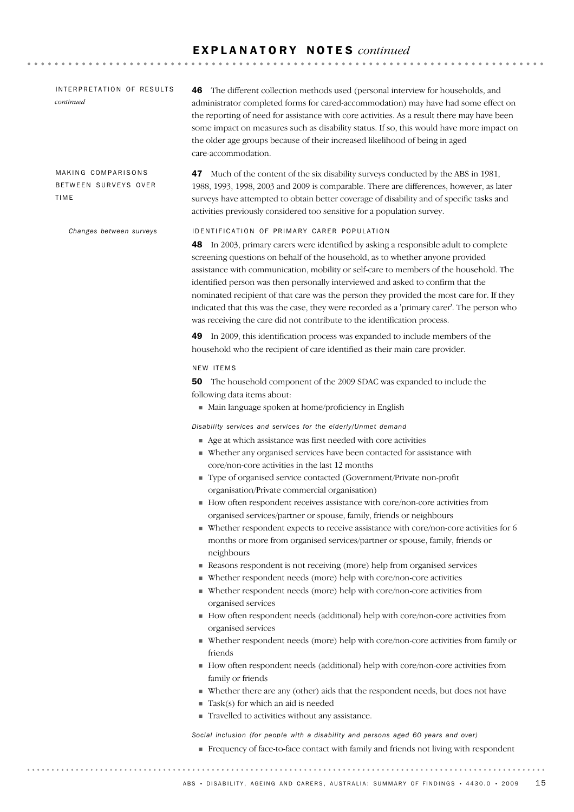**\*\*\*\*\*\*\*\*\*\*\*** 

ID ENTIFICATION OF PRIMARY CARER POPULATION 48 In 2003, primary carers were identified by asking a responsible adult to complete screening questions on behalf of the household, as to whether anyone provided assistance with communication, mobility or self-care to members of the household. The identified person was then personally interviewed and asked to confirm that the nominated recipient of that care was the person they provided the most care for. If they indicated that this was the case, they were recorded as a 'primary carer'. The person who was receiving the care did not contribute to the identification process. 49 In 2009, this identification process was expanded to include members of the household who the recipient of care identified as their main care provider. NEW ITEMS 50 The household component of the 2009 SDAC was expanded to include the following data items about: ! Main language spoken at home/proficiency in English *Disability services and services for the elderly/Unmet demand* ! Age at which assistance was first needed with core activities ! Whether any organised services have been contacted for assistance with core/non-core activities in the last 12 months ! Type of organised service contacted (Government/Private non-profit organisation/Private commercial organisation) ! How often respondent receives assistance with core/non-core activities from organised services/partner or spouse, family, friends or neighbours ! Whether respondent expects to receive assistance with core/non-core activities for 6 months or more from organised services/partner or spouse, family, friends or neighbours ! Reasons respondent is not receiving (more) help from organised services ! Whether respondent needs (more) help with core/non-core activities ! Whether respondent needs (more) help with core/non-core activities from organised services ! How often respondent needs (additional) help with core/non-core activities from organised services ! Whether respondent needs (more) help with core/non-core activities from family or friends ! How often respondent needs (additional) help with core/non-core activities from family or friends ! Whether there are any (other) aids that the respondent needs, but does not have  $\blacksquare$  Task(s) for which an aid is needed ! Travelled to activities without any assistance. *Social inclusion (for people with a disability and persons aged 60 years and over)* ! Frequency of face-to-face contact with family and friends not living with respondent *Changes between surveys* 47 Much of the content of the six disability surveys conducted by the ABS in 1981, 1988, 1993, 1998, 2003 and 2009 is comparable. There are differences, however, as later surveys have attempted to obtain better coverage of disability and of specific tasks and activities previously considered too sensitive for a population survey. MAKING COMPARISONS BETWEEN SURVEYS OVER TIME 46 The different collection methods used (personal interview for households, and administrator completed forms for cared-accommodation) may have had some effect on the reporting of need for assistance with core activities. As a result there may have been some impact on measures such as disability status. If so, this would have more impact on the older age groups because of their increased likelihood of being in aged care-accommodation. INTERPRETATION OF RESULTS *continued*

ABS • DISABILITY, AGEING AND CARERS, AUSTRALIA: SUMMARY OF FINDINGS • 4430.0 • 2009 15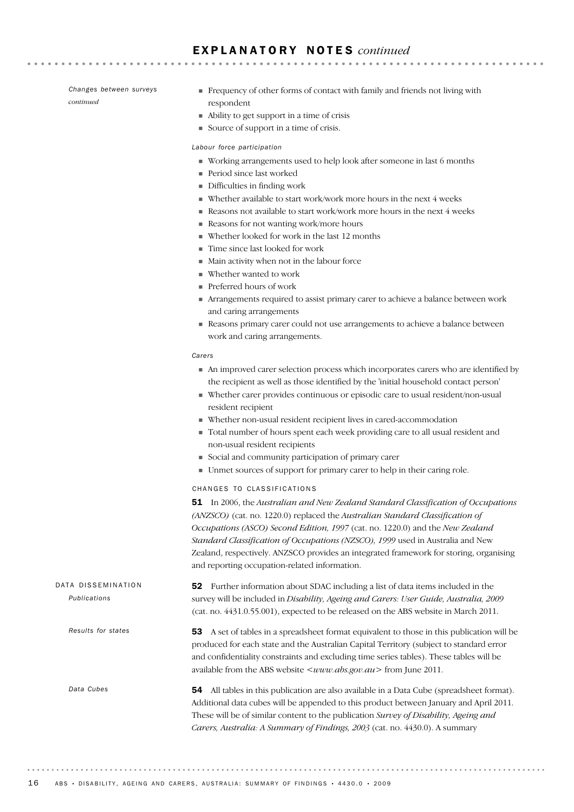*Changes between surveys continued*

- ! Frequency of other forms of contact with family and friends not living with respondent
- ! Ability to get support in a time of crisis
- ! Source of support in a time of crisis.

#### *Labour force participation*

- ! Working arrangements used to help look after someone in last 6 months
- ! Period since last worked
- ! Difficulties in finding work
- $\blacksquare$  Whether available to start work/work more hours in the next 4 weeks
- ! Reasons not available to start work/work more hours in the next 4 weeks
- ! Reasons for not wanting work/more hours
- ! Whether looked for work in the last 12 months
- ! Time since last looked for work
- ! Main activity when not in the labour force
- ! Whether wanted to work
- Preferred hours of work
- ! Arrangements required to assist primary carer to achieve a balance between work and caring arrangements
- ! Reasons primary carer could not use arrangements to achieve a balance between work and caring arrangements.

#### *Carers*

- ! An improved carer selection process which incorporates carers who are identified by the recipient as well as those identified by the 'initial household contact person'
- ! Whether carer provides continuous or episodic care to usual resident/non-usual resident recipient
- ! Whether non-usual resident recipient lives in cared-accommodation
- ! Total number of hours spent each week providing care to all usual resident and non-usual resident recipients
- ! Social and community participation of primary carer
- ! Unmet sources of support for primary carer to help in their caring role.

#### CHANGES TO CLASSIFICATIONS

51 In 2006, the *Australian and New Zealand Standard Classification of Occupations (ANZSCO)* (cat. no. 1220.0) replaced the *Australian Standard Classification of Occupations (ASCO) Second Edition, 1997* (cat. no. 1220.0) and the *New Zealand Standard Classification of Occupations (NZSCO), 1999* used in Australia and New Zealand, respectively. ANZSCO provides an integrated framework for storing, organising and reporting occupation-related information.

52 Further information about SDAC including a list of data items included in the survey will be included in *Disability, Ageing and Carers: User Guide, Australia, 2009* (cat. no. 4431.0.55.001), expected to be released on the ABS website in March 2011. DATA DISSEMINATION *Publications*

> 53 A set of tables in a spreadsheet format equivalent to those in this publication will be produced for each state and the Australian Capital Territory (subject to standard error and confidentiality constraints and excluding time series tables). These tables will be available from the ABS website  $\langle www.abs.gov.au\rangle$  from June 2011.

54 All tables in this publication are also available in a Data Cube (spreadsheet format). Additional data cubes will be appended to this product between January and April 2011. These will be of similar content to the publication *Survey of Disability, Ageing and Carers, Australia: A Summary of Findings, 2003* (cat. no. 4430.0). A summary

*Data Cubes*

*Results for states*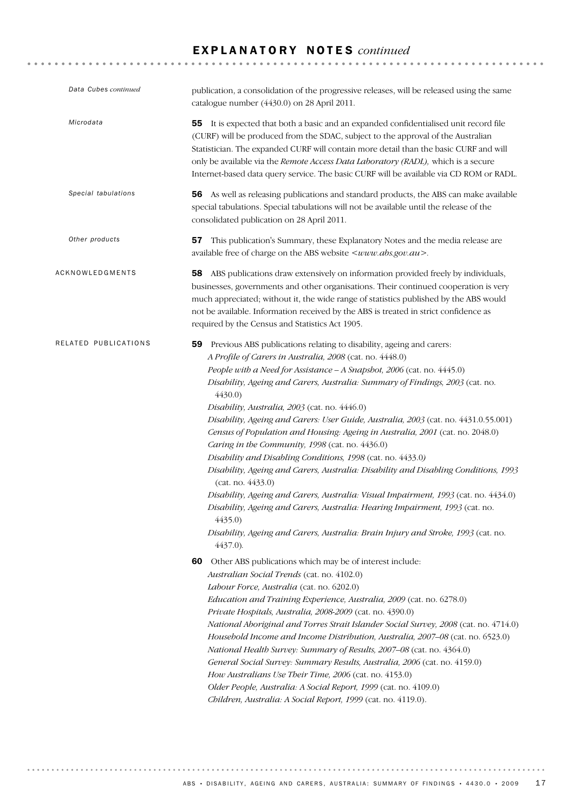| Data Cubes continued | publication, a consolidation of the progressive releases, will be released using the same<br>catalogue number (4430.0) on 28 April 2011.                                                                                                                                                                                                                                                                                                                                                                                                                                                                                                                                                                                                                                                                                                                                                                                                                                                                                                                                                                                                                                                                                                                                                                                                                                                                                                                                                                                                                                                                                                                                                                                                                                                                                                                                           |
|----------------------|------------------------------------------------------------------------------------------------------------------------------------------------------------------------------------------------------------------------------------------------------------------------------------------------------------------------------------------------------------------------------------------------------------------------------------------------------------------------------------------------------------------------------------------------------------------------------------------------------------------------------------------------------------------------------------------------------------------------------------------------------------------------------------------------------------------------------------------------------------------------------------------------------------------------------------------------------------------------------------------------------------------------------------------------------------------------------------------------------------------------------------------------------------------------------------------------------------------------------------------------------------------------------------------------------------------------------------------------------------------------------------------------------------------------------------------------------------------------------------------------------------------------------------------------------------------------------------------------------------------------------------------------------------------------------------------------------------------------------------------------------------------------------------------------------------------------------------------------------------------------------------|
| Microdata            | 55 It is expected that both a basic and an expanded confidentialised unit record file<br>(CURF) will be produced from the SDAC, subject to the approval of the Australian<br>Statistician. The expanded CURF will contain more detail than the basic CURF and will<br>only be available via the Remote Access Data Laboratory (RADL), which is a secure<br>Internet-based data query service. The basic CURF will be available via CD ROM or RADL.                                                                                                                                                                                                                                                                                                                                                                                                                                                                                                                                                                                                                                                                                                                                                                                                                                                                                                                                                                                                                                                                                                                                                                                                                                                                                                                                                                                                                                 |
| Special tabulations  | 56 As well as releasing publications and standard products, the ABS can make available<br>special tabulations. Special tabulations will not be available until the release of the<br>consolidated publication on 28 April 2011.                                                                                                                                                                                                                                                                                                                                                                                                                                                                                                                                                                                                                                                                                                                                                                                                                                                                                                                                                                                                                                                                                                                                                                                                                                                                                                                                                                                                                                                                                                                                                                                                                                                    |
| Other products       | This publication's Summary, these Explanatory Notes and the media release are<br>57<br>available free of charge on the ABS website < www.abs.gov.au >.                                                                                                                                                                                                                                                                                                                                                                                                                                                                                                                                                                                                                                                                                                                                                                                                                                                                                                                                                                                                                                                                                                                                                                                                                                                                                                                                                                                                                                                                                                                                                                                                                                                                                                                             |
| ACKNOWLEDGMENTS      | 58 ABS publications draw extensively on information provided freely by individuals,<br>businesses, governments and other organisations. Their continued cooperation is very<br>much appreciated; without it, the wide range of statistics published by the ABS would<br>not be available. Information received by the ABS is treated in strict confidence as<br>required by the Census and Statistics Act 1905.                                                                                                                                                                                                                                                                                                                                                                                                                                                                                                                                                                                                                                                                                                                                                                                                                                                                                                                                                                                                                                                                                                                                                                                                                                                                                                                                                                                                                                                                    |
| RELATED PUBLICATIONS | 59 Previous ABS publications relating to disability, ageing and carers:<br>A Profile of Carers in Australia, 2008 (cat. no. 4448.0)<br>People with a Need for Assistance - A Snapshot, 2006 (cat. no. 4445.0)<br>Disability, Ageing and Carers, Australia: Summary of Findings, 2003 (cat. no.<br>4430.0<br>Disability, Australia, 2003 (cat. no. 4446.0)<br>Disability, Ageing and Carers: User Guide, Australia, 2003 (cat. no. 4431.0.55.001)<br>Census of Population and Housing: Ageing in Australia, 2001 (cat. no. 2048.0)<br>Caring in the Community, 1998 (cat. no. 4436.0)<br>Disability and Disabling Conditions, 1998 (cat. no. 4433.0)<br>Disability, Ageing and Carers, Australia: Disability and Disabling Conditions, 1993<br>(cat. no. 4433.0)<br>Disability, Ageing and Carers, Australia: Visual Impairment, 1993 (cat. no. 4434.0)<br>Disability, Ageing and Carers, Australia: Hearing Impairment, 1993 (cat. no.<br>4435.0<br>Disability, Ageing and Carers, Australia: Brain Injury and Stroke, 1993 (cat. no.<br>4437.0).<br>Other ABS publications which may be of interest include:<br>60<br>Australian Social Trends (cat. no. 4102.0)<br>Labour Force, Australia (cat. no. 6202.0)<br>Education and Training Experience, Australia, 2009 (cat. no. 6278.0)<br>Private Hospitals, Australia, 2008-2009 (cat. no. 4390.0)<br>National Aboriginal and Torres Strait Islander Social Survey, 2008 (cat. no. 4714.0)<br>Household Income and Income Distribution, Australia, 2007-08 (cat. no. 6523.0)<br>National Health Survey: Summary of Results, 2007–08 (cat. no. 4364.0)<br>General Social Survey: Summary Results, Australia, 2006 (cat. no. 4159.0)<br>How Australians Use Their Time, 2006 (cat. no. 4153.0)<br>Older People, Australia: A Social Report, 1999 (cat. no. 4109.0)<br>Children, Australia: A Social Report, 1999 (cat. no. 4119.0). |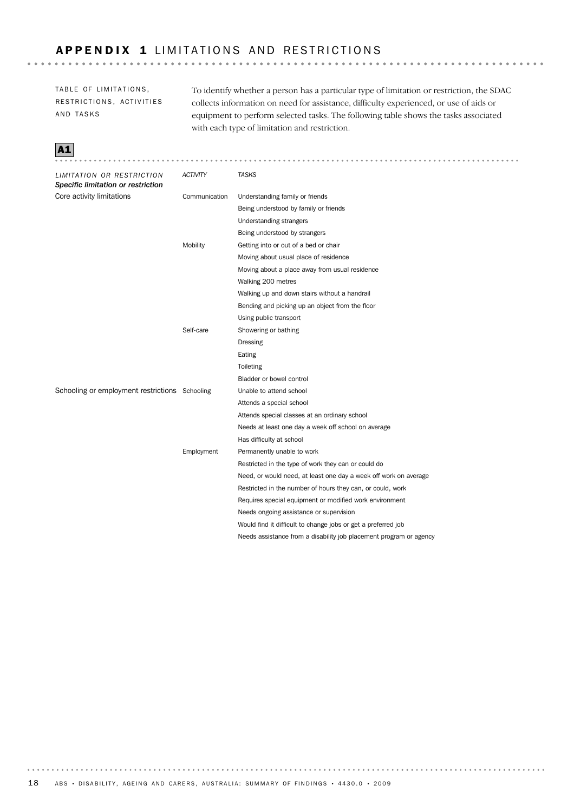## APPENDIX 1 LIMITATIONS AND RESTRICTIONS

TABLE OF LIMITATIONS, RESTRICTIONS, ACTIVITIES AND TASKS

To identify whether a person has a particular type of limitation or restriction, the SDAC collects information on need for assistance, difficulty experienced, or use of aids or equipment to perform selected tasks. The following table shows the tasks associated with each type of limitation and restriction.



| LIMITATION OR RESTRICTION<br>Specific limitation or restriction | <b>ACTIVITY</b> | <b>TASKS</b>                                                       |
|-----------------------------------------------------------------|-----------------|--------------------------------------------------------------------|
| Core activity limitations                                       | Communication   | Understanding family or friends                                    |
|                                                                 |                 | Being understood by family or friends                              |
|                                                                 |                 | Understanding strangers                                            |
|                                                                 |                 | Being understood by strangers                                      |
|                                                                 | Mobility        | Getting into or out of a bed or chair                              |
|                                                                 |                 | Moving about usual place of residence                              |
|                                                                 |                 | Moving about a place away from usual residence                     |
|                                                                 |                 | Walking 200 metres                                                 |
|                                                                 |                 | Walking up and down stairs without a handrail                      |
|                                                                 |                 | Bending and picking up an object from the floor                    |
|                                                                 |                 | Using public transport                                             |
|                                                                 | Self-care       | Showering or bathing                                               |
|                                                                 |                 | Dressing                                                           |
|                                                                 |                 | Eating                                                             |
|                                                                 |                 | Toileting                                                          |
|                                                                 |                 | Bladder or bowel control                                           |
| Schooling or employment restrictions Schooling                  |                 | Unable to attend school                                            |
|                                                                 |                 | Attends a special school                                           |
|                                                                 |                 | Attends special classes at an ordinary school                      |
|                                                                 |                 | Needs at least one day a week off school on average                |
|                                                                 |                 | Has difficulty at school                                           |
|                                                                 | Employment      | Permanently unable to work                                         |
|                                                                 |                 | Restricted in the type of work they can or could do                |
|                                                                 |                 | Need, or would need, at least one day a week off work on average   |
|                                                                 |                 | Restricted in the number of hours they can, or could, work         |
|                                                                 |                 | Requires special equipment or modified work environment            |
|                                                                 |                 | Needs ongoing assistance or supervision                            |
|                                                                 |                 | Would find it difficult to change jobs or get a preferred job      |
|                                                                 |                 | Needs assistance from a disability job placement program or agency |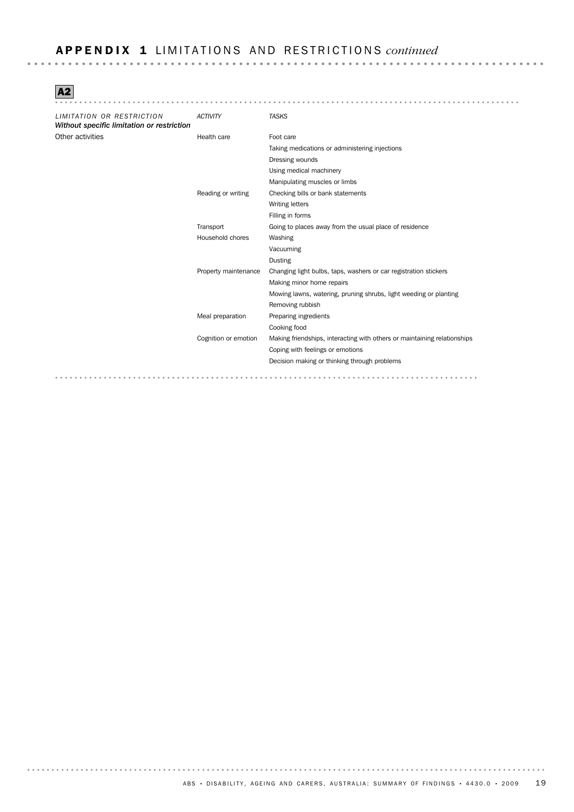## A P P E N D I X 1 L I M I T A T I O N S A N D RE S T R I C T I O N S *continued*

A2

| LIMITATION OR RESTRICTION<br>Without specific limitation or restriction | <b>ACTIVITY</b>      | <b>TASKS</b>                                                             |
|-------------------------------------------------------------------------|----------------------|--------------------------------------------------------------------------|
| Other activities                                                        | Health care          | Foot care                                                                |
|                                                                         |                      | Taking medications or administering injections                           |
|                                                                         |                      | Dressing wounds                                                          |
|                                                                         |                      | Using medical machinery                                                  |
|                                                                         |                      | Manipulating muscles or limbs                                            |
|                                                                         | Reading or writing   | Checking bills or bank statements                                        |
|                                                                         |                      | <b>Writing letters</b>                                                   |
|                                                                         |                      | Filling in forms                                                         |
|                                                                         | Transport            | Going to places away from the usual place of residence                   |
|                                                                         | Household chores     | Washing                                                                  |
|                                                                         |                      | Vacuuming                                                                |
|                                                                         |                      | <b>Dusting</b>                                                           |
|                                                                         | Property maintenance | Changing light bulbs, taps, washers or car registration stickers         |
|                                                                         |                      | Making minor home repairs                                                |
|                                                                         |                      | Mowing lawns, watering, pruning shrubs, light weeding or planting        |
|                                                                         |                      | Removing rubbish                                                         |
|                                                                         | Meal preparation     | Preparing ingredients                                                    |
|                                                                         |                      | Cooking food                                                             |
|                                                                         | Cognition or emotion | Making friendships, interacting with others or maintaining relationships |
|                                                                         |                      | Coping with feelings or emotions                                         |
|                                                                         |                      | Decision making or thinking through problems                             |
| .<br>$-$                                                                | .                    |                                                                          |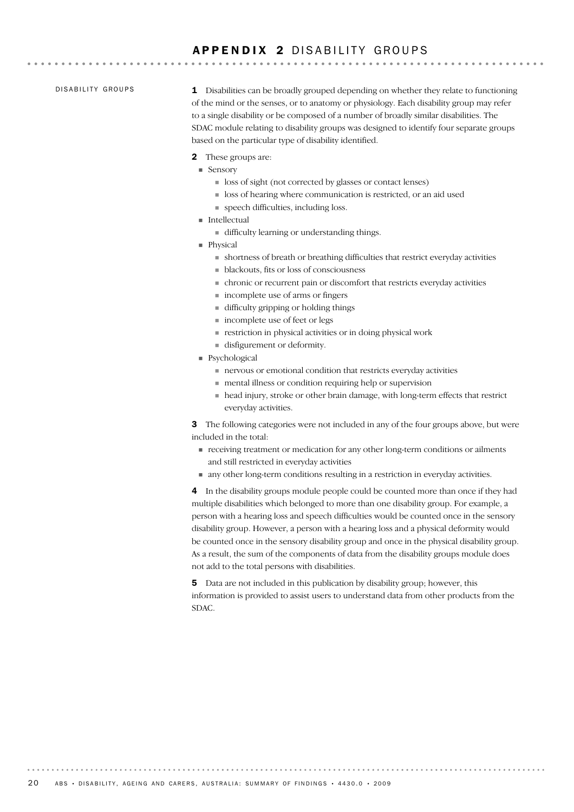## APPENDIX 2 DISABILITY GROUPS

### DISABILITY GROUPS

1 Disabilities can be broadly grouped depending on whether they relate to functioning of the mind or the senses, or to anatomy or physiology. Each disability group may refer to a single disability or be composed of a number of broadly similar disabilities. The SDAC module relating to disability groups was designed to identify four separate groups based on the particular type of disability identified.

- 2 These groups are:
- Sensory
	- ! loss of sight (not corrected by glasses or contact lenses)
	- ! loss of hearing where communication is restricted, or an aid used
	- ! speech difficulties, including loss.
- ! Intellectual
	- ! difficulty learning or understanding things.
- **Physical** 
	- ! shortness of breath or breathing difficulties that restrict everyday activities
	- ! blackouts, fits or loss of consciousness
	- ! chronic or recurrent pain or discomfort that restricts everyday activities
	- ! incomplete use of arms or fingers
	- ! difficulty gripping or holding things
	- $\blacksquare$  incomplete use of feet or legs
	- ! restriction in physical activities or in doing physical work
	- ! disfigurement or deformity.
- ! Psychological
	- ! nervous or emotional condition that restricts everyday activities
	- ! mental illness or condition requiring help or supervision
	- ! head injury, stroke or other brain damage, with long-term effects that restrict everyday activities.

**3** The following categories were not included in any of the four groups above, but were included in the total:

- ! receiving treatment or medication for any other long-term conditions or ailments and still restricted in everyday activities
- ! any other long-term conditions resulting in a restriction in everyday activities.

4 In the disability groups module people could be counted more than once if they had multiple disabilities which belonged to more than one disability group. For example, a person with a hearing loss and speech difficulties would be counted once in the sensory disability group. However, a person with a hearing loss and a physical deformity would be counted once in the sensory disability group and once in the physical disability group. As a result, the sum of the components of data from the disability groups module does not add to the total persons with disabilities.

5 Data are not included in this publication by disability group; however, this information is provided to assist users to understand data from other products from the SDAC.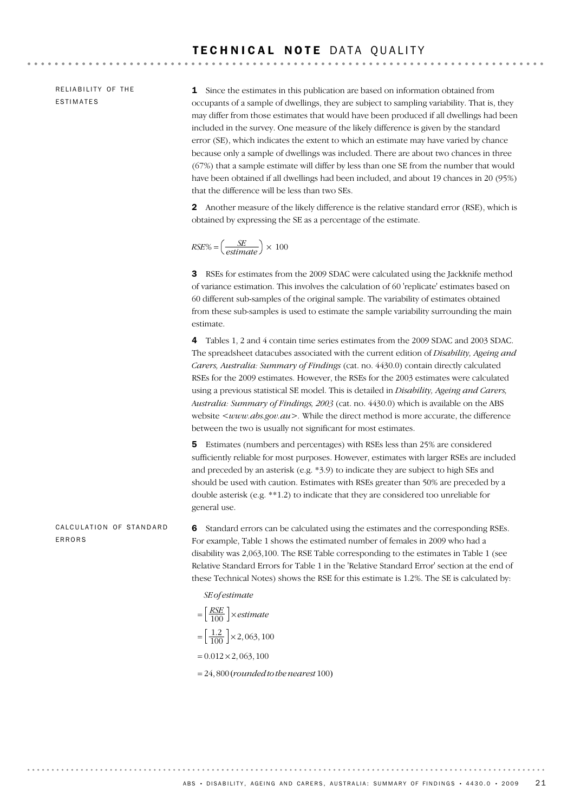RELIABILITY OF THE ESTIMATES

1 Since the estimates in this publication are based on information obtained from occupants of a sample of dwellings, they are subject to sampling variability. That is, they may differ from those estimates that would have been produced if all dwellings had been included in the survey. One measure of the likely difference is given by the standard error (SE), which indicates the extent to which an estimate may have varied by chance because only a sample of dwellings was included. There are about two chances in three (67%) that a sample estimate will differ by less than one SE from the number that would have been obtained if all dwellings had been included, and about 19 chances in 20 (95%) that the difference will be less than two SEs.

2 Another measure of the likely difference is the relative standard error (RSE), which is obtained by expressing the SE as a percentage of the estimate.

$$
RSE\% = \left(\frac{SE}{estimate}\right) \times 100
$$

3 RSEs for estimates from the 2009 SDAC were calculated using the Jackknife method of variance estimation. This involves the calculation of 60 'replicate' estimates based on 60 different sub-samples of the original sample. The variability of estimates obtained from these sub-samples is used to estimate the sample variability surrounding the main estimate.

4 Tables 1, 2 and 4 contain time series estimates from the 2009 SDAC and 2003 SDAC. The spreadsheet datacubes associated with the current edition of *Disability, Ageing and Carers, Australia: Summary of Findings* (cat. no. 4430.0) contain directly calculated RSEs for the 2009 estimates. However, the RSEs for the 2003 estimates were calculated using a previous statistical SE model. This is detailed in *Disability, Ageing and Carers, Australia: Summary of Findings, 2003* (cat. no. 4430.0) which is available on the ABS website  $\langle$ *www.abs.gov.au* $>$ . While the direct method is more accurate, the difference between the two is usually not significant for most estimates.

5 Estimates (numbers and percentages) with RSEs less than 25% are considered sufficiently reliable for most purposes. However, estimates with larger RSEs are included and preceded by an asterisk (e.g. \*3.9) to indicate they are subject to high SEs and should be used with caution. Estimates with RSEs greater than 50% are preceded by a double asterisk (e.g. \*\*1.2) to indicate that they are considered too unreliable for general use.

6 Standard errors can be calculated using the estimates and the corresponding RSEs. For example, Table 1 shows the estimated number of females in 2009 who had a disability was 2,063,100. The RSE Table corresponding to the estimates in Table 1 (see Relative Standard Errors for Table 1 in the 'Relative Standard Error' section at the end of these Technical Notes) shows the RSE for this estimate is 1.2%. The SE is calculated by: CALCULATION OF STANDARD ERRORS

*SE of estimate*

$$
= \left[\frac{RSE}{100}\right] \times estimate
$$

$$
= \left[\frac{1.2}{100}\right] \times 2,063,100
$$

$$
= 0.012 \times 2,063,100
$$

= 24, 800 (*rounded to the nearest* 100)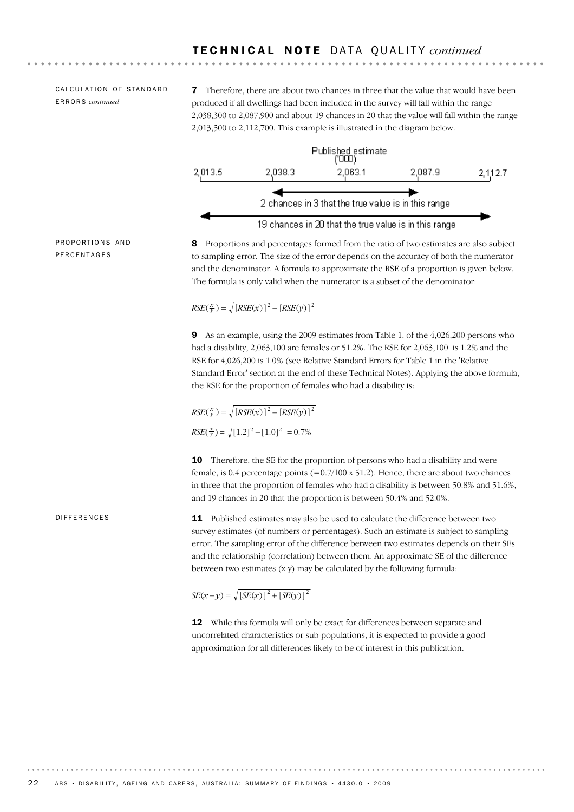### CALCULATION OF STANDARD ERRORS *continued*

**7** Therefore, there are about two chances in three that the value that would have been produced if all dwellings had been included in the survey will fall within the range 2,038,300 to 2,087,900 and about 19 chances in 20 that the value will fall within the range 2,013,500 to 2,112,700. This example is illustrated in the diagram below.



PROPORTIONS AND PERCENTAGES

8 Proportions and percentages formed from the ratio of two estimates are also subject to sampling error. The size of the error depends on the accuracy of both the numerator and the denominator. A formula to approximate the RSE of a proportion is given below. The formula is only valid when the numerator is a subset of the denominator:

$$
RSE(\frac{x}{y}) = \sqrt{[RSE(x)]^2 - [RSE(y)]^2}
$$

9 As an example, using the 2009 estimates from Table 1, of the 4,026,200 persons who had a disability, 2,063,100 are females or 51.2%. The RSE for 2,063,100 is 1.2% and the RSE for 4,026,200 is 1.0% (see Relative Standard Errors for Table 1 in the 'Relative Standard Error' section at the end of these Technical Notes). Applying the above formula, the RSE for the proportion of females who had a disability is:

$$
RSE(\frac{x}{y}) = \sqrt{[RSE(x)]^2 - [RSE(y)]^2}
$$

$$
RSE(\frac{x}{y}) = \sqrt{[1.2]^2 - [1.0]^2} = 0.7\%
$$

**10** Therefore, the SE for the proportion of persons who had a disability and were female, is  $0.4$  percentage points  $(=0.7/100 \times 51.2)$ . Hence, there are about two chances in three that the proportion of females who had a disability is between 50.8% and 51.6%, and 19 chances in 20 that the proportion is between 50.4% and 52.0%.

#### DIFFERENCES

11 Published estimates may also be used to calculate the difference between two survey estimates (of numbers or percentages). Such an estimate is subject to sampling error. The sampling error of the difference between two estimates depends on their SEs and the relationship (correlation) between them. An approximate SE of the difference between two estimates (x-y) may be calculated by the following formula:

 $SE(x - y) = \sqrt{[SE(x)]^2 + [SE(y)]^2}$ 

12 While this formula will only be exact for differences between separate and uncorrelated characteristics or sub-populations, it is expected to provide a good approximation for all differences likely to be of interest in this publication.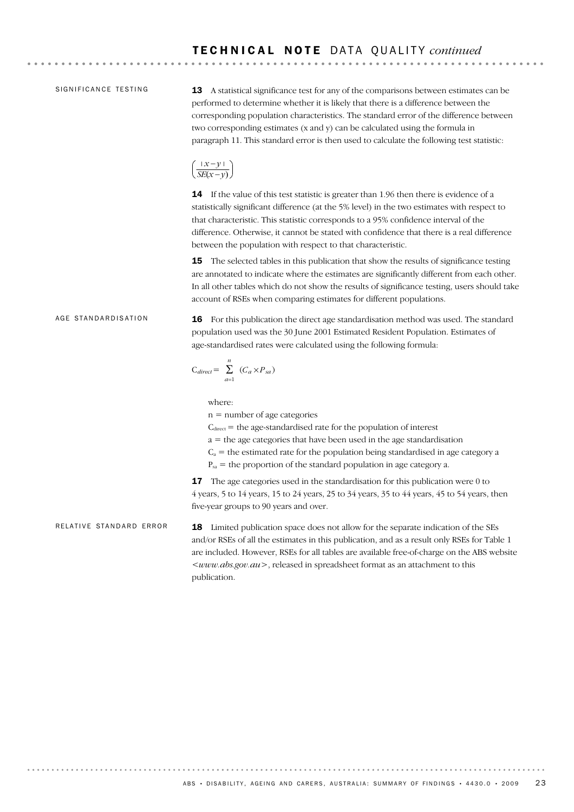. . . . . . . . . . . . . . . . . . . .

### SIGNIFICANCE TESTING

13 A statistical significance test for any of the comparisons between estimates can be performed to determine whether it is likely that there is a difference between the corresponding population characteristics. The standard error of the difference between two corresponding estimates (x and y) can be calculated using the formula in paragraph 11. This standard error is then used to calculate the following test statistic:

$$
\left(\frac{\mid x-y\mid}{SE(x-y)}\right)
$$

**14** If the value of this test statistic is greater than 1.96 then there is evidence of a statistically significant difference (at the 5% level) in the two estimates with respect to that characteristic. This statistic corresponds to a 95% confidence interval of the difference. Otherwise, it cannot be stated with confidence that there is a real difference between the population with respect to that characteristic.

**15** The selected tables in this publication that show the results of significance testing are annotated to indicate where the estimates are significantly different from each other. In all other tables which do not show the results of significance testing, users should take account of RSEs when comparing estimates for different populations.

#### AGE STANDARDISATION

16 For this publication the direct age standardisation method was used. The standard population used was the 30 June 2001 Estimated Resident Population. Estimates of age-standardised rates were calculated using the following formula:

$$
C_{direct} = \sum_{a=1}^{n} (C_a \times P_{sa})
$$

where:

publication.

n = number of age categories

 $C<sub>direct</sub>$  = the age-standardised rate for the population of interest

 $a =$  the age categories that have been used in the age standardisation

 $C_a$  = the estimated rate for the population being standardised in age category a

 $P_{sa}$  = the proportion of the standard population in age category a.

**17** The age categories used in the standardisation for this publication were 0 to 4 years, 5 to 14 years, 15 to 24 years, 25 to 34 years, 35 to 44 years, 45 to 54 years, then five-year groups to 90 years and over.

18 Limited publication space does not allow for the separate indication of the SEs and/or RSEs of all the estimates in this publication, and as a result only RSEs for Table 1 are included. However, RSEs for all tables are available free-of-charge on the ABS website *<www.abs.gov.au>*, released in spreadsheet format as an attachment to this RELATIVE STANDARD ERROR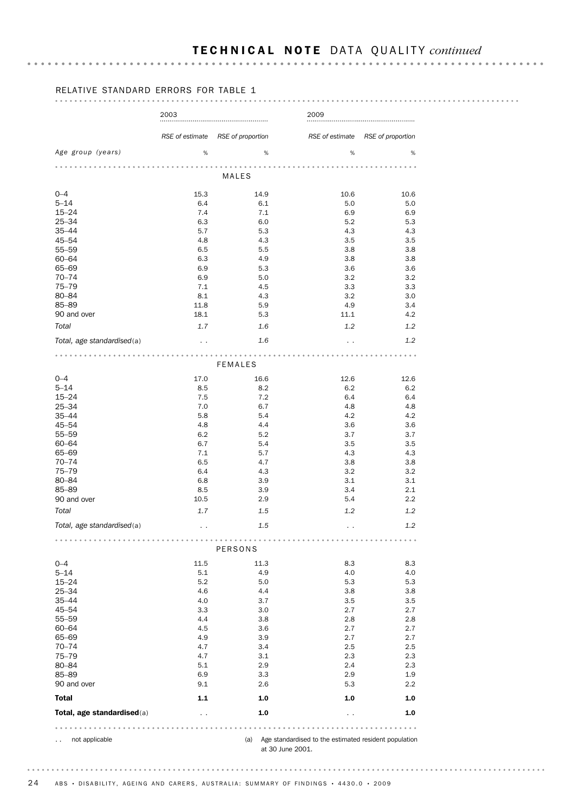# T E C H N I C A L N O T E DA T A QU A L I T Y *continued*

### RELATIVE STANDARD ERRORS FOR TABLE 1

#### . . . . . . . . . . . . . . . . . . . .

|                            | 2003                 |                                                                          | 2009                                                                      |                   |
|----------------------------|----------------------|--------------------------------------------------------------------------|---------------------------------------------------------------------------|-------------------|
|                            | RSE of estimate      | RSE of proportion                                                        | RSE of estimate                                                           | RSE of proportion |
| Age group (years)          | %                    | %                                                                        | %                                                                         | %                 |
|                            |                      | <b>MALES</b>                                                             |                                                                           |                   |
| $0 - 4$                    | 15.3                 | 14.9                                                                     | 10.6                                                                      | 10.6              |
| $5 - 14$                   | 6.4                  | 6.1                                                                      | 5.0                                                                       | 5.0               |
| $15 - 24$                  | 7.4                  | 7.1                                                                      | 6.9                                                                       | 6.9               |
| 25-34                      | 6.3                  | 6.0                                                                      | 5.2                                                                       | 5.3               |
| $35 - 44$                  | 5.7                  | 5.3                                                                      | 4.3                                                                       | 4.3               |
| 45-54                      | 4.8                  | 4.3                                                                      | 3.5                                                                       | 3.5               |
| $55 - 59$                  | 6.5                  | 5.5                                                                      | 3.8                                                                       | 3.8               |
| $60 - 64$                  | 6.3                  | 4.9                                                                      | 3.8                                                                       | 3.8               |
| 65-69                      | 6.9                  | 5.3                                                                      | 3.6                                                                       | 3.6               |
| $70 - 74$                  | 6.9                  | 5.0                                                                      | 3.2                                                                       | 3.2               |
| $75 - 79$                  | 7.1                  | 4.5                                                                      | 3.3                                                                       | 3.3               |
| 80-84                      | 8.1                  | 4.3                                                                      | 3.2                                                                       | 3.0               |
| 85-89                      | 11.8                 | 5.9                                                                      | 4.9                                                                       | 3.4               |
| 90 and over                | 18.1                 | 5.3                                                                      | 11.1                                                                      | 4.2               |
| Total                      | 1.7                  | 1.6                                                                      | 1.2                                                                       | 1.2               |
| Total, age standardised(a) | $\ddot{\phantom{0}}$ | 1.6                                                                      |                                                                           | 1.2               |
|                            |                      | $-0.00000$                                                               |                                                                           |                   |
| $0 - 4$                    | 17.0                 | <b>FEMALES</b><br>16.6                                                   | 12.6                                                                      | 12.6              |
| $5 - 14$                   | 8.5                  | 8.2                                                                      | 6.2                                                                       | 6.2               |
| $15 - 24$                  | 7.5                  | 7.2                                                                      | 6.4                                                                       | 6.4               |
| $25 - 34$                  | 7.0                  | 6.7                                                                      | 4.8                                                                       | 4.8               |
| $35 - 44$                  | 5.8                  | 5.4                                                                      | 4.2                                                                       | 4.2               |
| 45-54                      | 4.8                  | 4.4                                                                      | 3.6                                                                       | 3.6               |
| $55 - 59$                  | 6.2                  | 5.2                                                                      | 3.7                                                                       | 3.7               |
| 60-64                      | 6.7                  | 5.4                                                                      | 3.5                                                                       | 3.5               |
| 65-69                      | 7.1                  | 5.7                                                                      | 4.3                                                                       | 4.3               |
| $70 - 74$                  | 6.5                  | 4.7                                                                      | 3.8                                                                       | 3.8               |
| $75 - 79$                  | 6.4                  | 4.3                                                                      | 3.2                                                                       | 3.2               |
| 80-84                      | 6.8                  | 3.9                                                                      | 3.1                                                                       | 3.1               |
| 85-89                      | 8.5                  | 3.9                                                                      | 3.4                                                                       | 2.1               |
| 90 and over                | 10.5                 | 2.9                                                                      | 5.4                                                                       | 2.2               |
|                            |                      |                                                                          |                                                                           |                   |
| Total                      | 1.7                  | 1.5                                                                      | 1.2                                                                       | 1.2<br>1.2        |
| Total, age standardised(a) | $\sim$ $\sim$<br>.   | 1.5<br>$\begin{array}{cccccccccccccc} 0 & 0 & 0 & 0 & 0 & 0 \end{array}$ |                                                                           |                   |
|                            |                      | PERSONS                                                                  |                                                                           |                   |
| $0 - 4$                    | 11.5                 | 11.3                                                                     | 8.3                                                                       | 8.3               |
| $5 - 14$                   | 5.1                  | 4.9                                                                      | 4.0                                                                       | 4.0               |
| $15 - 24$                  | 5.2                  | 5.0                                                                      | 5.3                                                                       | 5.3               |
| $25 - 34$                  | 4.6                  | 4.4                                                                      | 3.8                                                                       | 3.8               |
| $35 - 44$                  | 4.0                  | 3.7                                                                      | 3.5                                                                       | 3.5               |
| 45-54                      | 3.3                  | 3.0                                                                      | 2.7                                                                       | 2.7               |
| $55 - 59$                  | 4.4                  | 3.8                                                                      | 2.8                                                                       | 2.8               |
| $60 - 64$                  | 4.5                  | 3.6                                                                      | 2.7                                                                       | 2.7               |
| 65-69                      | 4.9                  | 3.9                                                                      | 2.7                                                                       | 2.7               |
| $70 - 74$                  | 4.7                  | 3.4                                                                      | 2.5                                                                       | 2.5               |
| $75 - 79$                  | 4.7                  | 3.1                                                                      | 2.3                                                                       | 2.3               |
| 80-84                      | 5.1                  | 2.9                                                                      | 2.4                                                                       | 2.3               |
| 85-89                      | 6.9                  | 3.3                                                                      | 2.9                                                                       | 1.9               |
| 90 and over                | 9.1                  | 2.6                                                                      | 5.3                                                                       | $2.2\,$           |
| <b>Total</b>               | 1.1                  | 1.0                                                                      | 1.0                                                                       | 1.0               |
| Total, age standardised(a) | $\ddot{\phantom{0}}$ | 1.0                                                                      | $\ddot{\phantom{0}}$                                                      | 1.0               |
| 0.00000                    | $- - - - - -$        |                                                                          | .                                                                         |                   |
| not applicable             |                      | (a)                                                                      | Age standardised to the estimated resident population<br>at 30 June 2001. |                   |
|                            |                      |                                                                          |                                                                           |                   |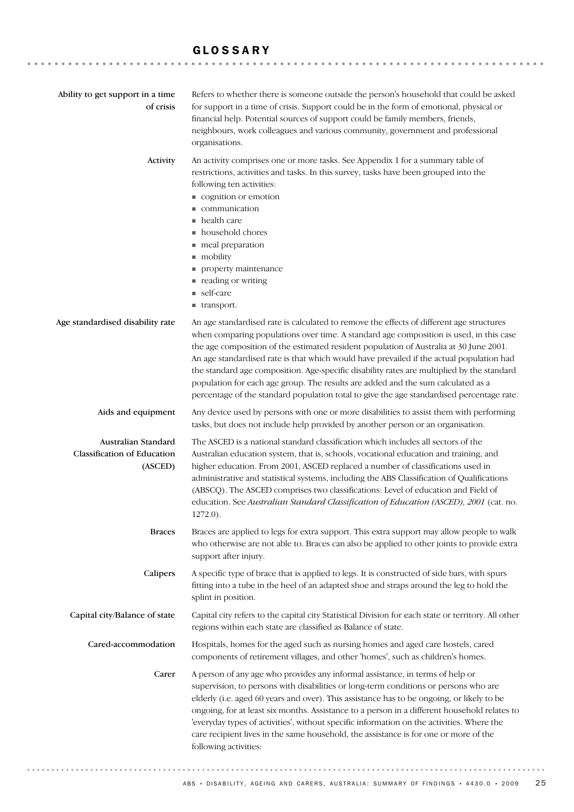### GLOSSARY

| Ability to get support in a time<br>of crisis                        | Refers to whether there is someone outside the person's household that could be asked<br>for support in a time of crisis. Support could be in the form of emotional, physical or<br>financial help. Potential sources of support could be family members, friends,<br>neighbours, work colleagues and various community, government and professional<br>organisations.                                                                                                                                                                                                                                                                                  |
|----------------------------------------------------------------------|---------------------------------------------------------------------------------------------------------------------------------------------------------------------------------------------------------------------------------------------------------------------------------------------------------------------------------------------------------------------------------------------------------------------------------------------------------------------------------------------------------------------------------------------------------------------------------------------------------------------------------------------------------|
| Activity                                                             | An activity comprises one or more tasks. See Appendix 1 for a summary table of<br>restrictions, activities and tasks. In this survey, tasks have been grouped into the<br>following ten activities:<br>cognition or emotion<br>communication<br>• health care<br>• household chores<br>meal preparation<br>mobility<br>property maintenance<br>■ reading or writing<br>■ self-care<br>■ transport.                                                                                                                                                                                                                                                      |
| Age standardised disability rate                                     | An age standardised rate is calculated to remove the effects of different age structures<br>when comparing populations over time. A standard age composition is used, in this case<br>the age composition of the estimated resident population of Australia at 30 June 2001.<br>An age standardised rate is that which would have prevailed if the actual population had<br>the standard age composition. Age-specific disability rates are multiplied by the standard<br>population for each age group. The results are added and the sum calculated as a<br>percentage of the standard population total to give the age standardised percentage rate. |
| Aids and equipment                                                   | Any device used by persons with one or more disabilities to assist them with performing<br>tasks, but does not include help provided by another person or an organisation.                                                                                                                                                                                                                                                                                                                                                                                                                                                                              |
| Australian Standard<br><b>Classification of Education</b><br>(ASCED) | The ASCED is a national standard classification which includes all sectors of the<br>Australian education system, that is, schools, vocational education and training, and<br>higher education. From 2001, ASCED replaced a number of classifications used in<br>administrative and statistical systems, including the ABS Classification of Qualifications<br>(ABSCQ). The ASCED comprises two classifications: Level of education and Field of<br>education. See Australian Standard Classification of Education (ASCED), 2001 (cat. no.<br>$1272.0$ ).                                                                                               |
| <b>Braces</b>                                                        | Braces are applied to legs for extra support. This extra support may allow people to walk<br>who otherwise are not able to. Braces can also be applied to other joints to provide extra<br>support after injury.                                                                                                                                                                                                                                                                                                                                                                                                                                        |
| Calipers                                                             | A specific type of brace that is applied to legs. It is constructed of side bars, with spurs<br>fitting into a tube in the heel of an adapted shoe and straps around the leg to hold the<br>splint in position.                                                                                                                                                                                                                                                                                                                                                                                                                                         |
| Capital city/Balance of state                                        | Capital city refers to the capital city Statistical Division for each state or territory. All other<br>regions within each state are classified as Balance of state.                                                                                                                                                                                                                                                                                                                                                                                                                                                                                    |
| Cared-accommodation                                                  | Hospitals, homes for the aged such as nursing homes and aged care hostels, cared<br>components of retirement villages, and other 'homes', such as children's homes.                                                                                                                                                                                                                                                                                                                                                                                                                                                                                     |
| Carer                                                                | A person of any age who provides any informal assistance, in terms of help or<br>supervision, to persons with disabilities or long-term conditions or persons who are<br>elderly (i.e. aged 60 years and over). This assistance has to be ongoing, or likely to be<br>ongoing, for at least six months. Assistance to a person in a different household relates to<br>'everyday types of activities', without specific information on the activities. Where the<br>care recipient lives in the same household, the assistance is for one or more of the<br>following activities:                                                                        |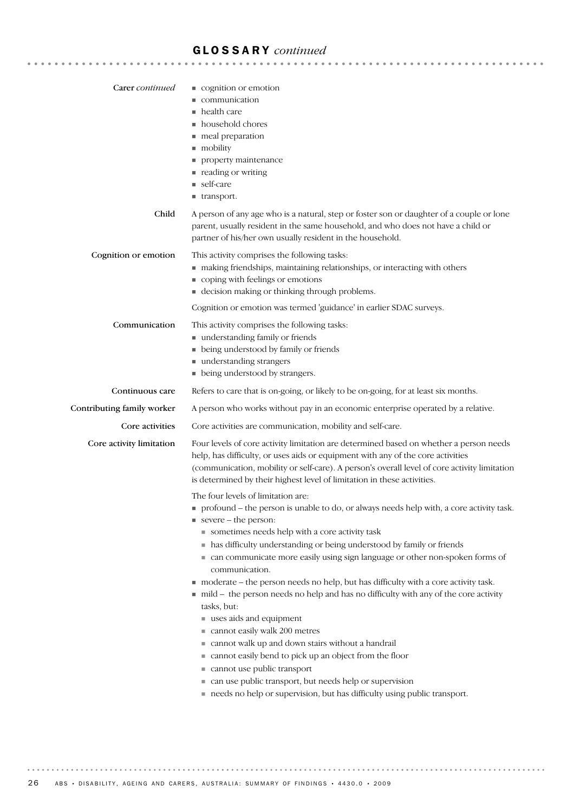| Carer continued            | cognition or emotion                                                                                                                                                                                                                                                                                                                                 |
|----------------------------|------------------------------------------------------------------------------------------------------------------------------------------------------------------------------------------------------------------------------------------------------------------------------------------------------------------------------------------------------|
|                            | communication<br>health care                                                                                                                                                                                                                                                                                                                         |
|                            | household chores                                                                                                                                                                                                                                                                                                                                     |
|                            | meal preparation                                                                                                                                                                                                                                                                                                                                     |
|                            | mobility                                                                                                                                                                                                                                                                                                                                             |
|                            | property maintenance                                                                                                                                                                                                                                                                                                                                 |
|                            | ■ reading or writing                                                                                                                                                                                                                                                                                                                                 |
|                            | ■ self-care<br>■ transport.                                                                                                                                                                                                                                                                                                                          |
| Child                      | A person of any age who is a natural, step or foster son or daughter of a couple or lone                                                                                                                                                                                                                                                             |
|                            | parent, usually resident in the same household, and who does not have a child or<br>partner of his/her own usually resident in the household.                                                                                                                                                                                                        |
| Cognition or emotion       | This activity comprises the following tasks:                                                                                                                                                                                                                                                                                                         |
|                            | making friendships, maintaining relationships, or interacting with others                                                                                                                                                                                                                                                                            |
|                            | coping with feelings or emotions                                                                                                                                                                                                                                                                                                                     |
|                            | • decision making or thinking through problems.                                                                                                                                                                                                                                                                                                      |
|                            | Cognition or emotion was termed 'guidance' in earlier SDAC surveys.                                                                                                                                                                                                                                                                                  |
| Communication              | This activity comprises the following tasks:                                                                                                                                                                                                                                                                                                         |
|                            | understanding family or friends<br>• being understood by family or friends                                                                                                                                                                                                                                                                           |
|                            | understanding strangers                                                                                                                                                                                                                                                                                                                              |
|                            | • being understood by strangers.                                                                                                                                                                                                                                                                                                                     |
| Continuous care            | Refers to care that is on-going, or likely to be on-going, for at least six months.                                                                                                                                                                                                                                                                  |
| Contributing family worker | A person who works without pay in an economic enterprise operated by a relative.                                                                                                                                                                                                                                                                     |
| Core activities            | Core activities are communication, mobility and self-care.                                                                                                                                                                                                                                                                                           |
| Core activity limitation   | Four levels of core activity limitation are determined based on whether a person needs<br>help, has difficulty, or uses aids or equipment with any of the core activities<br>(communication, mobility or self-care). A person's overall level of core activity limitation<br>is determined by their highest level of limitation in these activities. |
|                            | The four levels of limitation are:                                                                                                                                                                                                                                                                                                                   |
|                            | • profound - the person is unable to do, or always needs help with, a core activity task.                                                                                                                                                                                                                                                            |
|                            | $\blacksquare$ severe – the person:                                                                                                                                                                                                                                                                                                                  |
|                            | sometimes needs help with a core activity task<br>• has difficulty understanding or being understood by family or friends                                                                                                                                                                                                                            |
|                            | • can communicate more easily using sign language or other non-spoken forms of<br>communication.                                                                                                                                                                                                                                                     |
|                            | moderate – the person needs no help, but has difficulty with a core activity task.                                                                                                                                                                                                                                                                   |
|                            | ■ mild – the person needs no help and has no difficulty with any of the core activity<br>tasks, but:                                                                                                                                                                                                                                                 |
|                            | uses aids and equipment                                                                                                                                                                                                                                                                                                                              |
|                            | cannot easily walk 200 metres                                                                                                                                                                                                                                                                                                                        |
|                            | ■ cannot walk up and down stairs without a handrail                                                                                                                                                                                                                                                                                                  |
|                            | ■ cannot easily bend to pick up an object from the floor<br>cannot use public transport                                                                                                                                                                                                                                                              |
|                            | • can use public transport, but needs help or supervision                                                                                                                                                                                                                                                                                            |
|                            | needs no help or supervision, but has difficulty using public transport.                                                                                                                                                                                                                                                                             |
|                            |                                                                                                                                                                                                                                                                                                                                                      |
|                            |                                                                                                                                                                                                                                                                                                                                                      |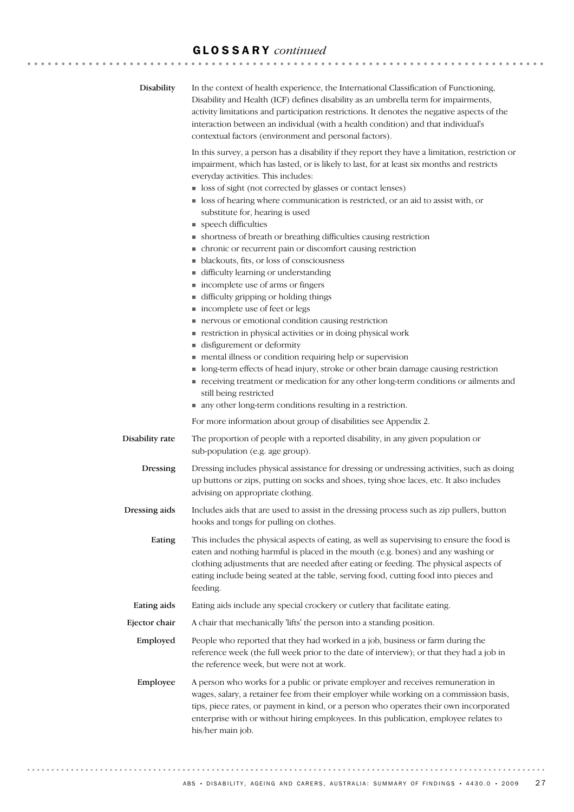| Disability      | In the context of health experience, the International Classification of Functioning,<br>Disability and Health (ICF) defines disability as an umbrella term for impairments,<br>activity limitations and participation restrictions. It denotes the negative aspects of the<br>interaction between an individual (with a health condition) and that individual's<br>contextual factors (environment and personal factors).                                                                                                                                                                                                                                                                                                                                                                                                                                                                                                                                                                                                                                                                                                                                                                                                                                                                     |
|-----------------|------------------------------------------------------------------------------------------------------------------------------------------------------------------------------------------------------------------------------------------------------------------------------------------------------------------------------------------------------------------------------------------------------------------------------------------------------------------------------------------------------------------------------------------------------------------------------------------------------------------------------------------------------------------------------------------------------------------------------------------------------------------------------------------------------------------------------------------------------------------------------------------------------------------------------------------------------------------------------------------------------------------------------------------------------------------------------------------------------------------------------------------------------------------------------------------------------------------------------------------------------------------------------------------------|
|                 | In this survey, a person has a disability if they report they have a limitation, restriction or<br>impairment, which has lasted, or is likely to last, for at least six months and restricts<br>everyday activities. This includes:<br>loss of sight (not corrected by glasses or contact lenses)<br>■ loss of hearing where communication is restricted, or an aid to assist with, or<br>substitute for, hearing is used<br>speech difficulties<br>• shortness of breath or breathing difficulties causing restriction<br>• chronic or recurrent pain or discomfort causing restriction<br>• blackouts, fits, or loss of consciousness<br>difficulty learning or understanding<br>■ incomplete use of arms or fingers<br>difficulty gripping or holding things<br>n incomplete use of feet or legs<br>nervous or emotional condition causing restriction<br>restriction in physical activities or in doing physical work<br>disfigurement or deformity<br>mental illness or condition requiring help or supervision<br>• long-term effects of head injury, stroke or other brain damage causing restriction<br>receiving treatment or medication for any other long-term conditions or ailments and<br>still being restricted<br>• any other long-term conditions resulting in a restriction. |
|                 | For more information about group of disabilities see Appendix 2.                                                                                                                                                                                                                                                                                                                                                                                                                                                                                                                                                                                                                                                                                                                                                                                                                                                                                                                                                                                                                                                                                                                                                                                                                               |
| Disability rate | The proportion of people with a reported disability, in any given population or<br>sub-population (e.g. age group).                                                                                                                                                                                                                                                                                                                                                                                                                                                                                                                                                                                                                                                                                                                                                                                                                                                                                                                                                                                                                                                                                                                                                                            |
| Dressing        | Dressing includes physical assistance for dressing or undressing activities, such as doing<br>up buttons or zips, putting on socks and shoes, tying shoe laces, etc. It also includes<br>advising on appropriate clothing.                                                                                                                                                                                                                                                                                                                                                                                                                                                                                                                                                                                                                                                                                                                                                                                                                                                                                                                                                                                                                                                                     |
| Dressing aids   | Includes aids that are used to assist in the dressing process such as zip pullers, button<br>hooks and tongs for pulling on clothes.                                                                                                                                                                                                                                                                                                                                                                                                                                                                                                                                                                                                                                                                                                                                                                                                                                                                                                                                                                                                                                                                                                                                                           |
| Eating          | This includes the physical aspects of eating, as well as supervising to ensure the food is<br>eaten and nothing harmful is placed in the mouth (e.g. bones) and any washing or<br>clothing adjustments that are needed after eating or feeding. The physical aspects of<br>eating include being seated at the table, serving food, cutting food into pieces and<br>feeding.                                                                                                                                                                                                                                                                                                                                                                                                                                                                                                                                                                                                                                                                                                                                                                                                                                                                                                                    |
| Eating aids     | Eating aids include any special crockery or cutlery that facilitate eating.                                                                                                                                                                                                                                                                                                                                                                                                                                                                                                                                                                                                                                                                                                                                                                                                                                                                                                                                                                                                                                                                                                                                                                                                                    |
| Ejector chair   | A chair that mechanically 'lifts' the person into a standing position.                                                                                                                                                                                                                                                                                                                                                                                                                                                                                                                                                                                                                                                                                                                                                                                                                                                                                                                                                                                                                                                                                                                                                                                                                         |
| Employed        | People who reported that they had worked in a job, business or farm during the<br>reference week (the full week prior to the date of interview); or that they had a job in<br>the reference week, but were not at work.                                                                                                                                                                                                                                                                                                                                                                                                                                                                                                                                                                                                                                                                                                                                                                                                                                                                                                                                                                                                                                                                        |
| Employee        | A person who works for a public or private employer and receives remuneration in<br>wages, salary, a retainer fee from their employer while working on a commission basis,<br>tips, piece rates, or payment in kind, or a person who operates their own incorporated<br>enterprise with or without hiring employees. In this publication, employee relates to<br>his/her main job.                                                                                                                                                                                                                                                                                                                                                                                                                                                                                                                                                                                                                                                                                                                                                                                                                                                                                                             |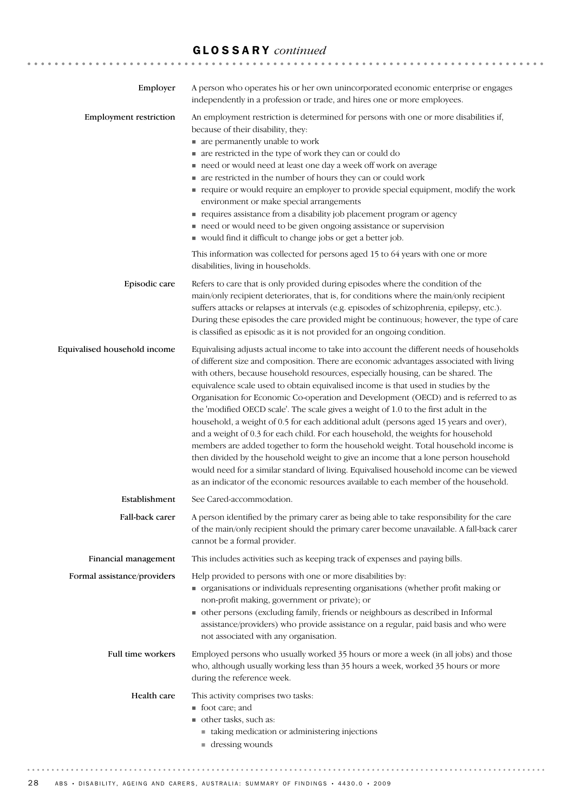| Employer                      | A person who operates his or her own unincorporated economic enterprise or engages<br>independently in a profession or trade, and hires one or more employees.                                                                                                                                                                                                                                                                                                                                                                                                                                                                                                                                                                                                                                                                                                                                                                                                                                                                                                                               |
|-------------------------------|----------------------------------------------------------------------------------------------------------------------------------------------------------------------------------------------------------------------------------------------------------------------------------------------------------------------------------------------------------------------------------------------------------------------------------------------------------------------------------------------------------------------------------------------------------------------------------------------------------------------------------------------------------------------------------------------------------------------------------------------------------------------------------------------------------------------------------------------------------------------------------------------------------------------------------------------------------------------------------------------------------------------------------------------------------------------------------------------|
| <b>Employment restriction</b> | An employment restriction is determined for persons with one or more disabilities if,<br>because of their disability, they:<br>• are permanently unable to work<br>• are restricted in the type of work they can or could do<br>need or would need at least one day a week off work on average<br>• are restricted in the number of hours they can or could work<br>require or would require an employer to provide special equipment, modify the work<br>environment or make special arrangements<br>requires assistance from a disability job placement program or agency<br>need or would need to be given ongoing assistance or supervision<br>vould find it difficult to change jobs or get a better job.                                                                                                                                                                                                                                                                                                                                                                               |
|                               | This information was collected for persons aged 15 to 64 years with one or more<br>disabilities, living in households.                                                                                                                                                                                                                                                                                                                                                                                                                                                                                                                                                                                                                                                                                                                                                                                                                                                                                                                                                                       |
| Episodic care                 | Refers to care that is only provided during episodes where the condition of the<br>main/only recipient deteriorates, that is, for conditions where the main/only recipient<br>suffers attacks or relapses at intervals (e.g. episodes of schizophrenia, epilepsy, etc.).<br>During these episodes the care provided might be continuous; however, the type of care<br>is classified as episodic as it is not provided for an ongoing condition.                                                                                                                                                                                                                                                                                                                                                                                                                                                                                                                                                                                                                                              |
| Equivalised household income  | Equivalising adjusts actual income to take into account the different needs of households<br>of different size and composition. There are economic advantages associated with living<br>with others, because household resources, especially housing, can be shared. The<br>equivalence scale used to obtain equivalised income is that used in studies by the<br>Organisation for Economic Co-operation and Development (OECD) and is referred to as<br>the 'modified OECD scale'. The scale gives a weight of 1.0 to the first adult in the<br>household, a weight of 0.5 for each additional adult (persons aged 15 years and over),<br>and a weight of 0.3 for each child. For each household, the weights for household<br>members are added together to form the household weight. Total household income is<br>then divided by the household weight to give an income that a lone person household<br>would need for a similar standard of living. Equivalised household income can be viewed<br>as an indicator of the economic resources available to each member of the household. |
| Establishment                 | See Cared-accommodation.                                                                                                                                                                                                                                                                                                                                                                                                                                                                                                                                                                                                                                                                                                                                                                                                                                                                                                                                                                                                                                                                     |
| Fall-back carer               | A person identified by the primary carer as being able to take responsibility for the care<br>of the main/only recipient should the primary carer become unavailable. A fall-back carer<br>cannot be a formal provider.                                                                                                                                                                                                                                                                                                                                                                                                                                                                                                                                                                                                                                                                                                                                                                                                                                                                      |
| Financial management          | This includes activities such as keeping track of expenses and paying bills.                                                                                                                                                                                                                                                                                                                                                                                                                                                                                                                                                                                                                                                                                                                                                                                                                                                                                                                                                                                                                 |
| Formal assistance/providers   | Help provided to persons with one or more disabilities by:<br>organisations or individuals representing organisations (whether profit making or<br>non-profit making, government or private); or<br>• other persons (excluding family, friends or neighbours as described in Informal<br>assistance/providers) who provide assistance on a regular, paid basis and who were<br>not associated with any organisation.                                                                                                                                                                                                                                                                                                                                                                                                                                                                                                                                                                                                                                                                         |
| Full time workers             | Employed persons who usually worked 35 hours or more a week (in all jobs) and those<br>who, although usually working less than 35 hours a week, worked 35 hours or more<br>during the reference week.                                                                                                                                                                                                                                                                                                                                                                                                                                                                                                                                                                                                                                                                                                                                                                                                                                                                                        |
| Health care                   | This activity comprises two tasks:<br>■ foot care; and<br>other tasks, such as:<br>• taking medication or administering injections<br>$\blacksquare$ dressing wounds                                                                                                                                                                                                                                                                                                                                                                                                                                                                                                                                                                                                                                                                                                                                                                                                                                                                                                                         |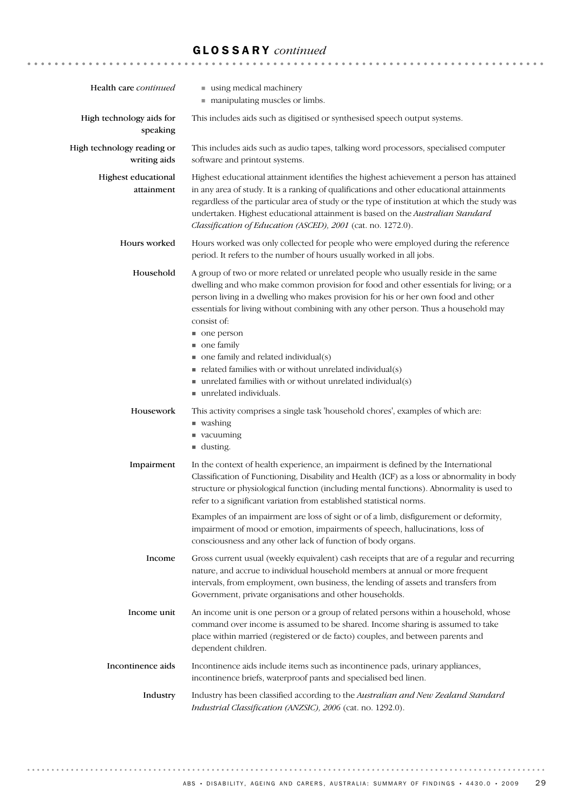| Health care continued                      | using medical machinery<br>manipulating muscles or limbs.                                                                                                                                                                                                                                                                                                                                                                                                                                                                                                                                                                                    |
|--------------------------------------------|----------------------------------------------------------------------------------------------------------------------------------------------------------------------------------------------------------------------------------------------------------------------------------------------------------------------------------------------------------------------------------------------------------------------------------------------------------------------------------------------------------------------------------------------------------------------------------------------------------------------------------------------|
| High technology aids for<br>speaking       | This includes aids such as digitised or synthesised speech output systems.                                                                                                                                                                                                                                                                                                                                                                                                                                                                                                                                                                   |
| High technology reading or<br>writing aids | This includes aids such as audio tapes, talking word processors, specialised computer<br>software and printout systems.                                                                                                                                                                                                                                                                                                                                                                                                                                                                                                                      |
| Highest educational<br>attainment          | Highest educational attainment identifies the highest achievement a person has attained<br>in any area of study. It is a ranking of qualifications and other educational attainments<br>regardless of the particular area of study or the type of institution at which the study was<br>undertaken. Highest educational attainment is based on the Australian Standard<br>Classification of Education (ASCED), 2001 (cat. no. 1272.0).                                                                                                                                                                                                       |
| Hours worked                               | Hours worked was only collected for people who were employed during the reference<br>period. It refers to the number of hours usually worked in all jobs.                                                                                                                                                                                                                                                                                                                                                                                                                                                                                    |
| Household                                  | A group of two or more related or unrelated people who usually reside in the same<br>dwelling and who make common provision for food and other essentials for living; or a<br>person living in a dwelling who makes provision for his or her own food and other<br>essentials for living without combining with any other person. Thus a household may<br>consist of:<br>one person<br>• one family<br>$\blacksquare$ one family and related individual(s)<br>$\blacksquare$ related families with or without unrelated individual(s)<br>$\blacksquare$ unrelated families with or without unrelated individual(s)<br>unrelated individuals. |
| Housework                                  | This activity comprises a single task 'household chores', examples of which are:<br>■ washing<br>vacuuming<br>$\blacksquare$ dusting.                                                                                                                                                                                                                                                                                                                                                                                                                                                                                                        |
| Impairment                                 | In the context of health experience, an impairment is defined by the International<br>Classification of Functioning, Disability and Health (ICF) as a loss or abnormality in body<br>structure or physiological function (including mental functions). Abnormality is used to<br>refer to a significant variation from established statistical norms.<br>Examples of an impairment are loss of sight or of a limb, disfigurement or deformity,<br>impairment of mood or emotion, impairments of speech, hallucinations, loss of<br>consciousness and any other lack of function of body organs.                                              |
| Income                                     | Gross current usual (weekly equivalent) cash receipts that are of a regular and recurring<br>nature, and accrue to individual household members at annual or more frequent<br>intervals, from employment, own business, the lending of assets and transfers from<br>Government, private organisations and other households.                                                                                                                                                                                                                                                                                                                  |
| Income unit                                | An income unit is one person or a group of related persons within a household, whose<br>command over income is assumed to be shared. Income sharing is assumed to take<br>place within married (registered or de facto) couples, and between parents and<br>dependent children.                                                                                                                                                                                                                                                                                                                                                              |
| Incontinence aids                          | Incontinence aids include items such as incontinence pads, urinary appliances,<br>incontinence briefs, waterproof pants and specialised bed linen.                                                                                                                                                                                                                                                                                                                                                                                                                                                                                           |
| Industry                                   | Industry has been classified according to the Australian and New Zealand Standard<br>Industrial Classification (ANZSIC), 2006 (cat. no. 1292.0).                                                                                                                                                                                                                                                                                                                                                                                                                                                                                             |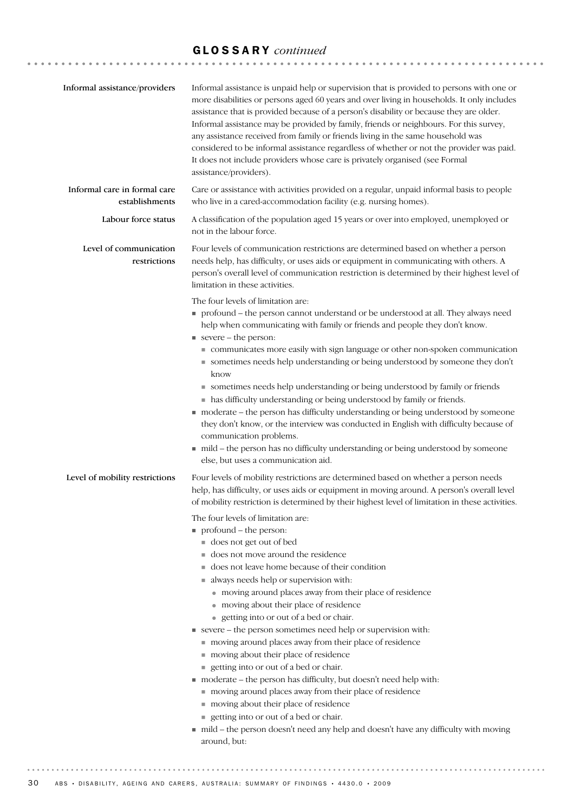| Informal assistance/providers                  | Informal assistance is unpaid help or supervision that is provided to persons with one or<br>more disabilities or persons aged 60 years and over living in households. It only includes<br>assistance that is provided because of a person's disability or because they are older.<br>Informal assistance may be provided by family, friends or neighbours. For this survey,<br>any assistance received from family or friends living in the same household was<br>considered to be informal assistance regardless of whether or not the provider was paid.<br>It does not include providers whose care is privately organised (see Formal<br>assistance/providers).                                                                                                                                                                                                                                                                      |
|------------------------------------------------|-------------------------------------------------------------------------------------------------------------------------------------------------------------------------------------------------------------------------------------------------------------------------------------------------------------------------------------------------------------------------------------------------------------------------------------------------------------------------------------------------------------------------------------------------------------------------------------------------------------------------------------------------------------------------------------------------------------------------------------------------------------------------------------------------------------------------------------------------------------------------------------------------------------------------------------------|
| Informal care in formal care<br>establishments | Care or assistance with activities provided on a regular, unpaid informal basis to people<br>who live in a cared-accommodation facility (e.g. nursing homes).                                                                                                                                                                                                                                                                                                                                                                                                                                                                                                                                                                                                                                                                                                                                                                             |
| Labour force status                            | A classification of the population aged 15 years or over into employed, unemployed or<br>not in the labour force.                                                                                                                                                                                                                                                                                                                                                                                                                                                                                                                                                                                                                                                                                                                                                                                                                         |
| Level of communication<br>restrictions         | Four levels of communication restrictions are determined based on whether a person<br>needs help, has difficulty, or uses aids or equipment in communicating with others. A<br>person's overall level of communication restriction is determined by their highest level of<br>limitation in these activities.                                                                                                                                                                                                                                                                                                                                                                                                                                                                                                                                                                                                                             |
|                                                | The four levels of limitation are:<br>profound - the person cannot understand or be understood at all. They always need<br>help when communicating with family or friends and people they don't know.<br>$\blacksquare$ severe – the person:<br>communicates more easily with sign language or other non-spoken communication<br>sometimes needs help understanding or being understood by someone they don't<br>know<br>• sometimes needs help understanding or being understood by family or friends<br>• has difficulty understanding or being understood by family or friends.<br>moderate - the person has difficulty understanding or being understood by someone<br>they don't know, or the interview was conducted in English with difficulty because of<br>communication problems.<br>■ mild – the person has no difficulty understanding or being understood by someone<br>else, but uses a communication aid.                  |
| Level of mobility restrictions                 | Four levels of mobility restrictions are determined based on whether a person needs<br>help, has difficulty, or uses aids or equipment in moving around. A person's overall level<br>of mobility restriction is determined by their highest level of limitation in these activities.                                                                                                                                                                                                                                                                                                                                                                                                                                                                                                                                                                                                                                                      |
|                                                | The four levels of limitation are:<br>$\blacksquare$ profound – the person:<br>does not get out of bed<br>does not move around the residence<br>■ does not leave home because of their condition<br>always needs help or supervision with:<br>• moving around places away from their place of residence<br>• moving about their place of residence<br>• getting into or out of a bed or chair.<br>severe - the person sometimes need help or supervision with:<br>moving around places away from their place of residence<br>moving about their place of residence<br>getting into or out of a bed or chair.<br>moderate - the person has difficulty, but doesn't need help with:<br>moving around places away from their place of residence<br>moving about their place of residence<br>getting into or out of a bed or chair.<br>in mild - the person doesn't need any help and doesn't have any difficulty with moving<br>around, but: |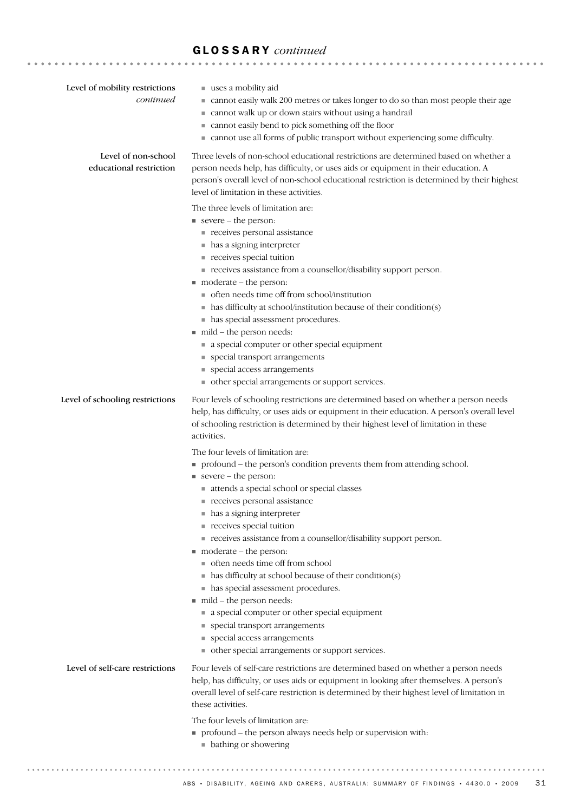| Level of mobility restrictions<br>continued    | uses a mobility aid<br>■ cannot easily walk 200 metres or takes longer to do so than most people their age<br>cannot walk up or down stairs without using a handrail<br>ш<br>cannot easily bend to pick something off the floor<br>• cannot use all forms of public transport without experiencing some difficulty.                                                                                                                                                                                                                                                                                                                                                                                                                                                                                                                                            |
|------------------------------------------------|----------------------------------------------------------------------------------------------------------------------------------------------------------------------------------------------------------------------------------------------------------------------------------------------------------------------------------------------------------------------------------------------------------------------------------------------------------------------------------------------------------------------------------------------------------------------------------------------------------------------------------------------------------------------------------------------------------------------------------------------------------------------------------------------------------------------------------------------------------------|
| Level of non-school<br>educational restriction | Three levels of non-school educational restrictions are determined based on whether a<br>person needs help, has difficulty, or uses aids or equipment in their education. A<br>person's overall level of non-school educational restriction is determined by their highest<br>level of limitation in these activities.                                                                                                                                                                                                                                                                                                                                                                                                                                                                                                                                         |
|                                                | The three levels of limitation are:<br>severe - the person:<br>receives personal assistance<br>• has a signing interpreter<br>receives special tuition<br>receives assistance from a counsellor/disability support person.<br>$\blacksquare$ moderate – the person:<br>• often needs time off from school/institution<br>$\blacksquare$ has difficulty at school/institution because of their condition(s)<br>• has special assessment procedures.<br>mild - the person needs:<br>a special computer or other special equipment<br>special transport arrangements<br>• special access arrangements                                                                                                                                                                                                                                                             |
| Level of schooling restrictions                | ther special arrangements or support services.<br>Four levels of schooling restrictions are determined based on whether a person needs<br>help, has difficulty, or uses aids or equipment in their education. A person's overall level                                                                                                                                                                                                                                                                                                                                                                                                                                                                                                                                                                                                                         |
|                                                | of schooling restriction is determined by their highest level of limitation in these<br>activities.<br>The four levels of limitation are:<br>• profound – the person's condition prevents them from attending school.<br>severe – the person:<br>attends a special school or special classes<br>receives personal assistance<br>• has a signing interpreter<br>receives special tuition<br>receives assistance from a counsellor/disability support person.<br>$\blacksquare$ moderate – the person:<br>to often needs time off from school<br>$\blacksquare$ has difficulty at school because of their condition(s)<br>• has special assessment procedures.<br>mild – the person needs:<br>a special computer or other special equipment<br>• special transport arrangements<br>special access arrangements<br>ther special arrangements or support services. |
| Level of self-care restrictions                | Four levels of self-care restrictions are determined based on whether a person needs<br>help, has difficulty, or uses aids or equipment in looking after themselves. A person's<br>overall level of self-care restriction is determined by their highest level of limitation in<br>these activities.                                                                                                                                                                                                                                                                                                                                                                                                                                                                                                                                                           |
|                                                | The four levels of limitation are:<br>• profound – the person always needs help or supervision with:<br>• bathing or showering                                                                                                                                                                                                                                                                                                                                                                                                                                                                                                                                                                                                                                                                                                                                 |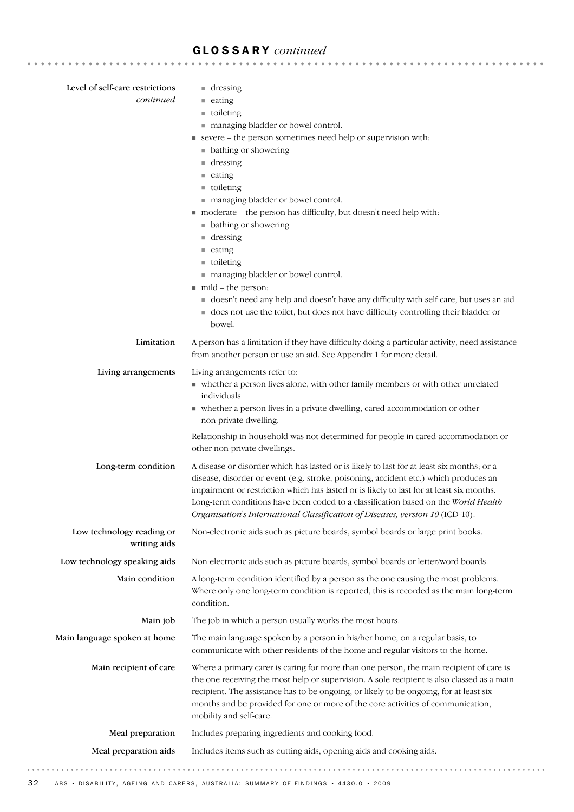| Level of self-care restrictions<br>continued | $\blacksquare$ dressing<br>$\equiv$ eating<br>$\blacksquare$ toileting<br>managing bladder or bowel control.<br>severe – the person sometimes need help or supervision with:<br>• bathing or showering<br>$\blacksquare$ dressing<br>$\equiv$ eating<br>$\blacksquare$ toileting<br>managing bladder or bowel control.<br>■ moderate – the person has difficulty, but doesn't need help with:<br>• bathing or showering<br>$\blacksquare$ dressing<br>$\equiv$ eating<br>$\blacksquare$ toileting<br>managing bladder or bowel control.<br>$\blacksquare$ mild – the person:<br>doesn't need any help and doesn't have any difficulty with self-care, but uses an aid<br>does not use the toilet, but does not have difficulty controlling their bladder or<br>bowel. |
|----------------------------------------------|-----------------------------------------------------------------------------------------------------------------------------------------------------------------------------------------------------------------------------------------------------------------------------------------------------------------------------------------------------------------------------------------------------------------------------------------------------------------------------------------------------------------------------------------------------------------------------------------------------------------------------------------------------------------------------------------------------------------------------------------------------------------------|
| Limitation                                   | A person has a limitation if they have difficulty doing a particular activity, need assistance<br>from another person or use an aid. See Appendix 1 for more detail.                                                                                                                                                                                                                                                                                                                                                                                                                                                                                                                                                                                                  |
| Living arrangements                          | Living arrangements refer to:<br>• whether a person lives alone, with other family members or with other unrelated<br>individuals<br>• whether a person lives in a private dwelling, cared-accommodation or other<br>non-private dwelling.<br>Relationship in household was not determined for people in cared-accommodation or<br>other non-private dwellings.                                                                                                                                                                                                                                                                                                                                                                                                       |
| Long-term condition                          | A disease or disorder which has lasted or is likely to last for at least six months; or a<br>disease, disorder or event (e.g. stroke, poisoning, accident etc.) which produces an<br>impairment or restriction which has lasted or is likely to last for at least six months.<br>Long-term conditions have been coded to a classification based on the World Health<br>Organisation's International Classification of Diseases, version 10 (ICD-10).                                                                                                                                                                                                                                                                                                                  |
| Low technology reading or<br>writing aids    | Non-electronic aids such as picture boards, symbol boards or large print books.                                                                                                                                                                                                                                                                                                                                                                                                                                                                                                                                                                                                                                                                                       |
| Low technology speaking aids                 | Non-electronic aids such as picture boards, symbol boards or letter/word boards.                                                                                                                                                                                                                                                                                                                                                                                                                                                                                                                                                                                                                                                                                      |
| Main condition                               | A long-term condition identified by a person as the one causing the most problems.<br>Where only one long-term condition is reported, this is recorded as the main long-term<br>condition.                                                                                                                                                                                                                                                                                                                                                                                                                                                                                                                                                                            |
| Main job                                     | The job in which a person usually works the most hours.                                                                                                                                                                                                                                                                                                                                                                                                                                                                                                                                                                                                                                                                                                               |
| Main language spoken at home                 | The main language spoken by a person in his/her home, on a regular basis, to<br>communicate with other residents of the home and regular visitors to the home.                                                                                                                                                                                                                                                                                                                                                                                                                                                                                                                                                                                                        |
| Main recipient of care                       | Where a primary carer is caring for more than one person, the main recipient of care is<br>the one receiving the most help or supervision. A sole recipient is also classed as a main<br>recipient. The assistance has to be ongoing, or likely to be ongoing, for at least six<br>months and be provided for one or more of the core activities of communication,<br>mobility and self-care.                                                                                                                                                                                                                                                                                                                                                                         |
| Meal preparation                             | Includes preparing ingredients and cooking food.                                                                                                                                                                                                                                                                                                                                                                                                                                                                                                                                                                                                                                                                                                                      |
| Meal preparation aids                        | Includes items such as cutting aids, opening aids and cooking aids.                                                                                                                                                                                                                                                                                                                                                                                                                                                                                                                                                                                                                                                                                                   |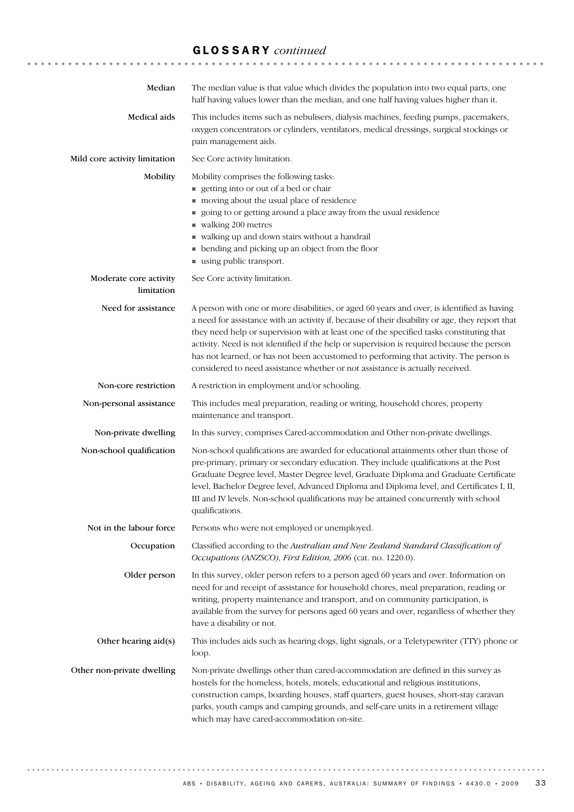| Median                               | The median value is that value which divides the population into two equal parts, one<br>half having values lower than the median, and one half having values higher than it.                                                                                                                                                                                                                                                                                                                                                                                      |
|--------------------------------------|--------------------------------------------------------------------------------------------------------------------------------------------------------------------------------------------------------------------------------------------------------------------------------------------------------------------------------------------------------------------------------------------------------------------------------------------------------------------------------------------------------------------------------------------------------------------|
| Medical aids                         | This includes items such as nebulisers, dialysis machines, feeding pumps, pacemakers,<br>oxygen concentrators or cylinders, ventilators, medical dressings, surgical stockings or<br>pain management aids.                                                                                                                                                                                                                                                                                                                                                         |
| Mild core activity limitation        | See Core activity limitation.                                                                                                                                                                                                                                                                                                                                                                                                                                                                                                                                      |
| Mobility                             | Mobility comprises the following tasks:<br>getting into or out of a bed or chair<br>moving about the usual place of residence<br>going to or getting around a place away from the usual residence<br>u walking 200 metres<br>walking up and down stairs without a handrail<br>٠<br>bending and picking up an object from the floor<br>using public transport.                                                                                                                                                                                                      |
| Moderate core activity<br>limitation | See Core activity limitation.                                                                                                                                                                                                                                                                                                                                                                                                                                                                                                                                      |
| Need for assistance                  | A person with one or more disabilities, or aged 60 years and over, is identified as having<br>a need for assistance with an activity if, because of their disability or age, they report that<br>they need help or supervision with at least one of the specified tasks constituting that<br>activity. Need is not identified if the help or supervision is required because the person<br>has not learned, or has not been accustomed to performing that activity. The person is<br>considered to need assistance whether or not assistance is actually received. |
| Non-core restriction                 | A restriction in employment and/or schooling.                                                                                                                                                                                                                                                                                                                                                                                                                                                                                                                      |
| Non-personal assistance              | This includes meal preparation, reading or writing, household chores, property<br>maintenance and transport.                                                                                                                                                                                                                                                                                                                                                                                                                                                       |
| Non-private dwelling                 | In this survey, comprises Cared-accommodation and Other non-private dwellings.                                                                                                                                                                                                                                                                                                                                                                                                                                                                                     |
| Non-school qualification             | Non-school qualifications are awarded for educational attainments other than those of<br>pre-primary, primary or secondary education. They include qualifications at the Post<br>Graduate Degree level, Master Degree level, Graduate Diploma and Graduate Certificate<br>level, Bachelor Degree level, Advanced Diploma and Diploma level, and Certificates I, II,<br>III and IV levels. Non-school qualifications may be attained concurrently with school<br>qualifications.                                                                                    |
| Not in the labour force              | Persons who were not employed or unemployed.                                                                                                                                                                                                                                                                                                                                                                                                                                                                                                                       |
| Occupation                           | Classified according to the Australian and New Zealand Standard Classification of<br>Occupations (ANZSCO), First Edition, 2006 (cat. no. 1220.0).                                                                                                                                                                                                                                                                                                                                                                                                                  |
| Older person                         | In this survey, older person refers to a person aged 60 years and over. Information on<br>need for and receipt of assistance for household chores, meal preparation, reading or<br>writing, property maintenance and transport, and on community participation, is<br>available from the survey for persons aged 60 years and over, regardless of whether they<br>have a disability or not.                                                                                                                                                                        |
| Other hearing aid(s)                 | This includes aids such as hearing dogs, light signals, or a Teletypewriter (TTY) phone or<br>loop.                                                                                                                                                                                                                                                                                                                                                                                                                                                                |
| Other non-private dwelling           | Non-private dwellings other than cared-accommodation are defined in this survey as<br>hostels for the homeless, hotels, motels, educational and religious institutions,<br>construction camps, boarding houses, staff quarters, guest houses, short-stay caravan<br>parks, youth camps and camping grounds, and self-care units in a retirement village<br>which may have cared-accommodation on-site.                                                                                                                                                             |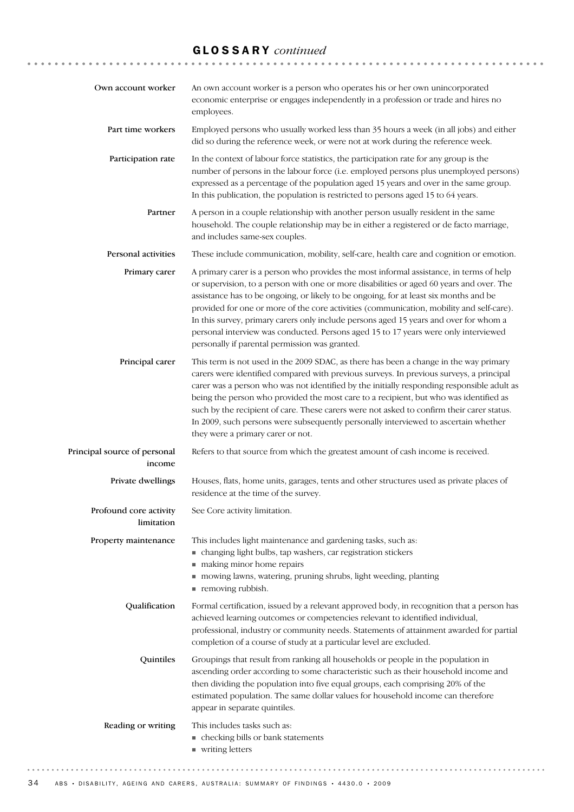| Own account worker                     | An own account worker is a person who operates his or her own unincorporated<br>economic enterprise or engages independently in a profession or trade and hires no<br>employees.                                                                                                                                                                                                                                                                                                                                                                                                                           |
|----------------------------------------|------------------------------------------------------------------------------------------------------------------------------------------------------------------------------------------------------------------------------------------------------------------------------------------------------------------------------------------------------------------------------------------------------------------------------------------------------------------------------------------------------------------------------------------------------------------------------------------------------------|
| Part time workers                      | Employed persons who usually worked less than 35 hours a week (in all jobs) and either<br>did so during the reference week, or were not at work during the reference week.                                                                                                                                                                                                                                                                                                                                                                                                                                 |
| Participation rate                     | In the context of labour force statistics, the participation rate for any group is the<br>number of persons in the labour force (i.e. employed persons plus unemployed persons)<br>expressed as a percentage of the population aged 15 years and over in the same group.<br>In this publication, the population is restricted to persons aged 15 to 64 years.                                                                                                                                                                                                                                              |
| Partner                                | A person in a couple relationship with another person usually resident in the same<br>household. The couple relationship may be in either a registered or de facto marriage,<br>and includes same-sex couples.                                                                                                                                                                                                                                                                                                                                                                                             |
| Personal activities                    | These include communication, mobility, self-care, health care and cognition or emotion.                                                                                                                                                                                                                                                                                                                                                                                                                                                                                                                    |
| Primary carer                          | A primary carer is a person who provides the most informal assistance, in terms of help<br>or supervision, to a person with one or more disabilities or aged 60 years and over. The<br>assistance has to be ongoing, or likely to be ongoing, for at least six months and be<br>provided for one or more of the core activities (communication, mobility and self-care).<br>In this survey, primary carers only include persons aged 15 years and over for whom a<br>personal interview was conducted. Persons aged 15 to 17 years were only interviewed<br>personally if parental permission was granted. |
| Principal carer                        | This term is not used in the 2009 SDAC, as there has been a change in the way primary<br>carers were identified compared with previous surveys. In previous surveys, a principal<br>carer was a person who was not identified by the initially responding responsible adult as<br>being the person who provided the most care to a recipient, but who was identified as<br>such by the recipient of care. These carers were not asked to confirm their carer status.<br>In 2009, such persons were subsequently personally interviewed to ascertain whether<br>they were a primary carer or not.           |
| Principal source of personal<br>income | Refers to that source from which the greatest amount of cash income is received.                                                                                                                                                                                                                                                                                                                                                                                                                                                                                                                           |
| Private dwellings                      | Houses, flats, home units, garages, tents and other structures used as private places of<br>residence at the time of the survey.                                                                                                                                                                                                                                                                                                                                                                                                                                                                           |
| Profound core activity<br>limitation   | See Core activity limitation.                                                                                                                                                                                                                                                                                                                                                                                                                                                                                                                                                                              |
| Property maintenance                   | This includes light maintenance and gardening tasks, such as:<br>• changing light bulbs, tap washers, car registration stickers<br>making minor home repairs<br>mowing lawns, watering, pruning shrubs, light weeding, planting<br>removing rubbish.                                                                                                                                                                                                                                                                                                                                                       |
| Qualification                          | Formal certification, issued by a relevant approved body, in recognition that a person has<br>achieved learning outcomes or competencies relevant to identified individual,<br>professional, industry or community needs. Statements of attainment awarded for partial<br>completion of a course of study at a particular level are excluded.                                                                                                                                                                                                                                                              |
| Quintiles                              | Groupings that result from ranking all households or people in the population in<br>ascending order according to some characteristic such as their household income and<br>then dividing the population into five equal groups, each comprising 20% of the<br>estimated population. The same dollar values for household income can therefore<br>appear in separate quintiles.                                                                                                                                                                                                                             |
| Reading or writing                     | This includes tasks such as:<br>• checking bills or bank statements<br>■ writing letters                                                                                                                                                                                                                                                                                                                                                                                                                                                                                                                   |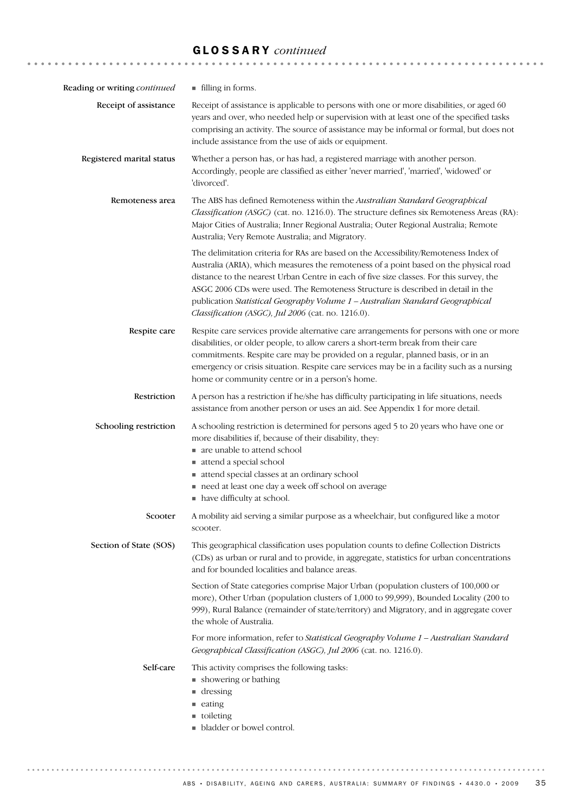| Reading or writing continued | ■ filling in forms.                                                                                                                                                                                                                                                                                                                                                                                                                                                                                |
|------------------------------|----------------------------------------------------------------------------------------------------------------------------------------------------------------------------------------------------------------------------------------------------------------------------------------------------------------------------------------------------------------------------------------------------------------------------------------------------------------------------------------------------|
| Receipt of assistance        | Receipt of assistance is applicable to persons with one or more disabilities, or aged 60<br>years and over, who needed help or supervision with at least one of the specified tasks<br>comprising an activity. The source of assistance may be informal or formal, but does not<br>include assistance from the use of aids or equipment.                                                                                                                                                           |
| Registered marital status    | Whether a person has, or has had, a registered marriage with another person.<br>Accordingly, people are classified as either 'never married', 'married', 'widowed' or<br>'divorced'.                                                                                                                                                                                                                                                                                                               |
| Remoteness area              | The ABS has defined Remoteness within the Australian Standard Geographical<br>Classification (ASGC) (cat. no. 1216.0). The structure defines six Remoteness Areas (RA):<br>Major Cities of Australia; Inner Regional Australia; Outer Regional Australia; Remote<br>Australia; Very Remote Australia; and Migratory.                                                                                                                                                                               |
|                              | The delimitation criteria for RAs are based on the Accessibility/Remoteness Index of<br>Australia (ARIA), which measures the remoteness of a point based on the physical road<br>distance to the nearest Urban Centre in each of five size classes. For this survey, the<br>ASGC 2006 CDs were used. The Remoteness Structure is described in detail in the<br>publication Statistical Geography Volume 1 - Australian Standard Geographical<br>Classification (ASGC), Jul 2006 (cat. no. 1216.0). |
| Respite care                 | Respite care services provide alternative care arrangements for persons with one or more<br>disabilities, or older people, to allow carers a short-term break from their care<br>commitments. Respite care may be provided on a regular, planned basis, or in an<br>emergency or crisis situation. Respite care services may be in a facility such as a nursing<br>home or community centre or in a person's home.                                                                                 |
| Restriction                  | A person has a restriction if he/she has difficulty participating in life situations, needs<br>assistance from another person or uses an aid. See Appendix 1 for more detail.                                                                                                                                                                                                                                                                                                                      |
| Schooling restriction        | A schooling restriction is determined for persons aged 5 to 20 years who have one or<br>more disabilities if, because of their disability, they:<br>are unable to attend school<br>attend a special school<br>attend special classes at an ordinary school<br>need at least one day a week off school on average<br>• have difficulty at school.                                                                                                                                                   |
| Scooter                      | A mobility aid serving a similar purpose as a wheelchair, but configured like a motor<br>scooter.                                                                                                                                                                                                                                                                                                                                                                                                  |
| Section of State (SOS)       | This geographical classification uses population counts to define Collection Districts<br>(CDs) as urban or rural and to provide, in aggregate, statistics for urban concentrations<br>and for bounded localities and balance areas.                                                                                                                                                                                                                                                               |
|                              | Section of State categories comprise Major Urban (population clusters of 100,000 or<br>more), Other Urban (population clusters of 1,000 to 99,999), Bounded Locality (200 to<br>999), Rural Balance (remainder of state/territory) and Migratory, and in aggregate cover<br>the whole of Australia.                                                                                                                                                                                                |
|                              | For more information, refer to Statistical Geography Volume 1 - Australian Standard<br>Geographical Classification (ASGC), Jul 2006 (cat. no. 1216.0).                                                                                                                                                                                                                                                                                                                                             |
| Self-care                    | This activity comprises the following tasks:<br>• showering or bathing<br>$\blacksquare$ dressing<br>■ eating<br>utoileting<br>• bladder or bowel control.                                                                                                                                                                                                                                                                                                                                         |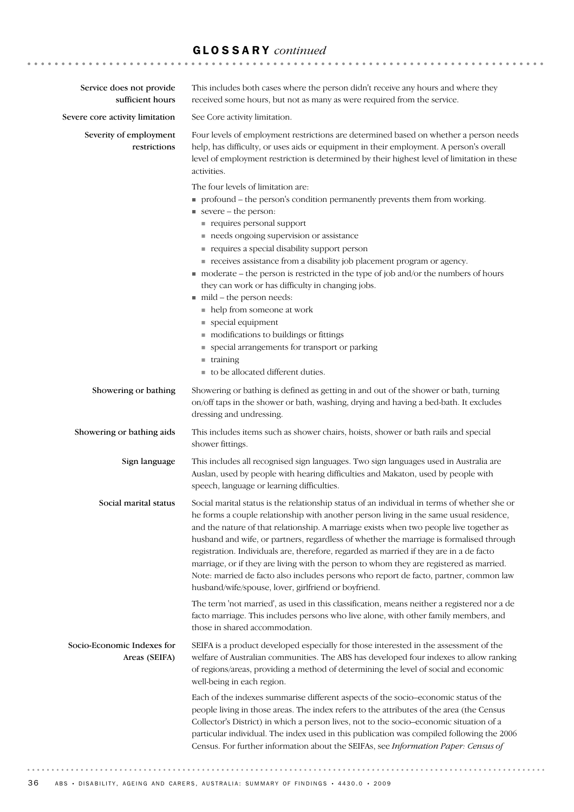| Service does not provide<br>sufficient hours | This includes both cases where the person didn't receive any hours and where they<br>received some hours, but not as many as were required from the service.                                                                                                                                                                                                                                                                                                                                                                                                                                                                                                                                                        |
|----------------------------------------------|---------------------------------------------------------------------------------------------------------------------------------------------------------------------------------------------------------------------------------------------------------------------------------------------------------------------------------------------------------------------------------------------------------------------------------------------------------------------------------------------------------------------------------------------------------------------------------------------------------------------------------------------------------------------------------------------------------------------|
| Severe core activity limitation              | See Core activity limitation.                                                                                                                                                                                                                                                                                                                                                                                                                                                                                                                                                                                                                                                                                       |
| Severity of employment<br>restrictions       | Four levels of employment restrictions are determined based on whether a person needs<br>help, has difficulty, or uses aids or equipment in their employment. A person's overall<br>level of employment restriction is determined by their highest level of limitation in these<br>activities.                                                                                                                                                                                                                                                                                                                                                                                                                      |
|                                              | The four levels of limitation are:                                                                                                                                                                                                                                                                                                                                                                                                                                                                                                                                                                                                                                                                                  |
|                                              | • profound – the person's condition permanently prevents them from working.                                                                                                                                                                                                                                                                                                                                                                                                                                                                                                                                                                                                                                         |
|                                              | severe – the person:                                                                                                                                                                                                                                                                                                                                                                                                                                                                                                                                                                                                                                                                                                |
|                                              | requires personal support<br>needs ongoing supervision or assistance                                                                                                                                                                                                                                                                                                                                                                                                                                                                                                                                                                                                                                                |
|                                              | requires a special disability support person                                                                                                                                                                                                                                                                                                                                                                                                                                                                                                                                                                                                                                                                        |
|                                              | receives assistance from a disability job placement program or agency.                                                                                                                                                                                                                                                                                                                                                                                                                                                                                                                                                                                                                                              |
|                                              | moderate - the person is restricted in the type of job and/or the numbers of hours                                                                                                                                                                                                                                                                                                                                                                                                                                                                                                                                                                                                                                  |
|                                              | they can work or has difficulty in changing jobs.<br>mild - the person needs:                                                                                                                                                                                                                                                                                                                                                                                                                                                                                                                                                                                                                                       |
|                                              | • help from someone at work                                                                                                                                                                                                                                                                                                                                                                                                                                                                                                                                                                                                                                                                                         |
|                                              | ■ special equipment                                                                                                                                                                                                                                                                                                                                                                                                                                                                                                                                                                                                                                                                                                 |
|                                              | modifications to buildings or fittings                                                                                                                                                                                                                                                                                                                                                                                                                                                                                                                                                                                                                                                                              |
|                                              | • special arrangements for transport or parking                                                                                                                                                                                                                                                                                                                                                                                                                                                                                                                                                                                                                                                                     |
|                                              | $\blacksquare$ training<br>to be allocated different duties.                                                                                                                                                                                                                                                                                                                                                                                                                                                                                                                                                                                                                                                        |
| Showering or bathing                         | Showering or bathing is defined as getting in and out of the shower or bath, turning<br>on/off taps in the shower or bath, washing, drying and having a bed-bath. It excludes<br>dressing and undressing.                                                                                                                                                                                                                                                                                                                                                                                                                                                                                                           |
| Showering or bathing aids                    | This includes items such as shower chairs, hoists, shower or bath rails and special<br>shower fittings.                                                                                                                                                                                                                                                                                                                                                                                                                                                                                                                                                                                                             |
| Sign language                                | This includes all recognised sign languages. Two sign languages used in Australia are<br>Auslan, used by people with hearing difficulties and Makaton, used by people with<br>speech, language or learning difficulties.                                                                                                                                                                                                                                                                                                                                                                                                                                                                                            |
| Social marital status                        | Social marital status is the relationship status of an individual in terms of whether she or<br>he forms a couple relationship with another person living in the same usual residence,<br>and the nature of that relationship. A marriage exists when two people live together as<br>husband and wife, or partners, regardless of whether the marriage is formalised through<br>registration. Individuals are, therefore, regarded as married if they are in a de facto<br>marriage, or if they are living with the person to whom they are registered as married.<br>Note: married de facto also includes persons who report de facto, partner, common law<br>husband/wife/spouse, lover, girlfriend or boyfriend. |
|                                              | The term 'not married', as used in this classification, means neither a registered nor a de<br>facto marriage. This includes persons who live alone, with other family members, and<br>those in shared accommodation.                                                                                                                                                                                                                                                                                                                                                                                                                                                                                               |
| Socio-Economic Indexes for<br>Areas (SEIFA)  | SEIFA is a product developed especially for those interested in the assessment of the<br>welfare of Australian communities. The ABS has developed four indexes to allow ranking<br>of regions/areas, providing a method of determining the level of social and economic<br>well-being in each region.                                                                                                                                                                                                                                                                                                                                                                                                               |
|                                              | Each of the indexes summarise different aspects of the socio-economic status of the<br>people living in those areas. The index refers to the attributes of the area (the Census<br>Collector's District) in which a person lives, not to the socio-economic situation of a<br>particular individual. The index used in this publication was compiled following the 2006<br>Census. For further information about the SEIFAs, see Information Paper: Census of                                                                                                                                                                                                                                                       |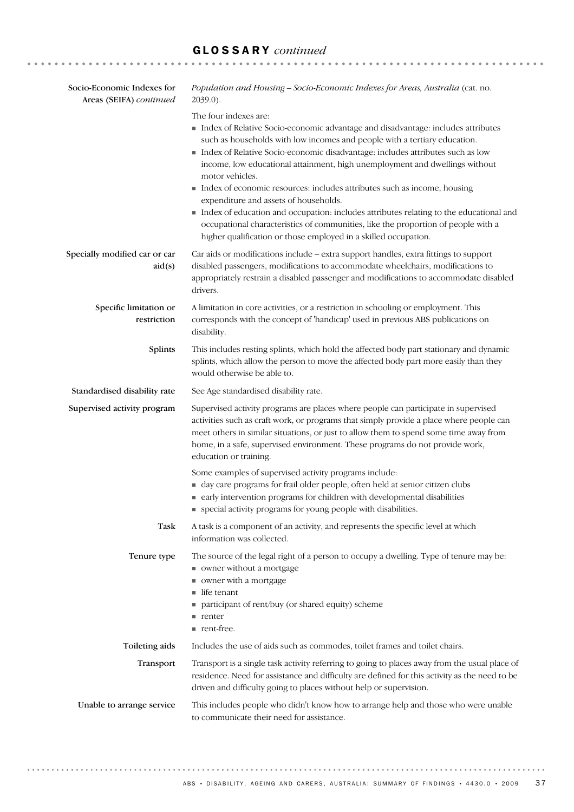| Socio-Economic Indexes for<br>Areas (SEIFA) continued | Population and Housing - Socio-Economic Indexes for Areas, Australia (cat. no.<br>$2039.0$ ).                                                                                                                                                                                                                                                                                                                                                                                                                                                                                                                                                                                                                                                     |  |
|-------------------------------------------------------|---------------------------------------------------------------------------------------------------------------------------------------------------------------------------------------------------------------------------------------------------------------------------------------------------------------------------------------------------------------------------------------------------------------------------------------------------------------------------------------------------------------------------------------------------------------------------------------------------------------------------------------------------------------------------------------------------------------------------------------------------|--|
|                                                       | The four indexes are:<br>Index of Relative Socio-economic advantage and disadvantage: includes attributes<br>such as households with low incomes and people with a tertiary education.<br>Index of Relative Socio-economic disadvantage: includes attributes such as low<br>income, low educational attainment, high unemployment and dwellings without<br>motor vehicles.<br>Index of economic resources: includes attributes such as income, housing<br>expenditure and assets of households.<br>Index of education and occupation: includes attributes relating to the educational and<br>occupational characteristics of communities, like the proportion of people with a<br>higher qualification or those employed in a skilled occupation. |  |
| Specially modified car or car<br>aid(s)               | Car aids or modifications include - extra support handles, extra fittings to support<br>disabled passengers, modifications to accommodate wheelchairs, modifications to<br>appropriately restrain a disabled passenger and modifications to accommodate disabled<br>drivers.                                                                                                                                                                                                                                                                                                                                                                                                                                                                      |  |
| Specific limitation or<br>restriction                 | A limitation in core activities, or a restriction in schooling or employment. This<br>corresponds with the concept of 'handicap' used in previous ABS publications on<br>disability.                                                                                                                                                                                                                                                                                                                                                                                                                                                                                                                                                              |  |
| Splints                                               | This includes resting splints, which hold the affected body part stationary and dynamic<br>splints, which allow the person to move the affected body part more easily than they<br>would otherwise be able to.                                                                                                                                                                                                                                                                                                                                                                                                                                                                                                                                    |  |
| Standardised disability rate                          | See Age standardised disability rate.                                                                                                                                                                                                                                                                                                                                                                                                                                                                                                                                                                                                                                                                                                             |  |
| Supervised activity program                           | Supervised activity programs are places where people can participate in supervised<br>activities such as craft work, or programs that simply provide a place where people can<br>meet others in similar situations, or just to allow them to spend some time away from<br>home, in a safe, supervised environment. These programs do not provide work,<br>education or training.                                                                                                                                                                                                                                                                                                                                                                  |  |
|                                                       | Some examples of supervised activity programs include:<br>day care programs for frail older people, often held at senior citizen clubs<br>early intervention programs for children with developmental disabilities<br>• special activity programs for young people with disabilities.                                                                                                                                                                                                                                                                                                                                                                                                                                                             |  |
| Task                                                  | A task is a component of an activity, and represents the specific level at which<br>information was collected.                                                                                                                                                                                                                                                                                                                                                                                                                                                                                                                                                                                                                                    |  |
| Tenure type                                           | The source of the legal right of a person to occupy a dwelling. Type of tenure may be:<br>• owner without a mortgage<br>owner with a mortgage<br>$\blacksquare$ life tenant<br>participant of rent/buy (or shared equity) scheme<br>n renter<br>nent-free.                                                                                                                                                                                                                                                                                                                                                                                                                                                                                        |  |
| Toileting aids                                        | Includes the use of aids such as commodes, toilet frames and toilet chairs.                                                                                                                                                                                                                                                                                                                                                                                                                                                                                                                                                                                                                                                                       |  |
| Transport                                             | Transport is a single task activity referring to going to places away from the usual place of<br>residence. Need for assistance and difficulty are defined for this activity as the need to be<br>driven and difficulty going to places without help or supervision.                                                                                                                                                                                                                                                                                                                                                                                                                                                                              |  |
| Unable to arrange service                             | This includes people who didn't know how to arrange help and those who were unable<br>to communicate their need for assistance.                                                                                                                                                                                                                                                                                                                                                                                                                                                                                                                                                                                                                   |  |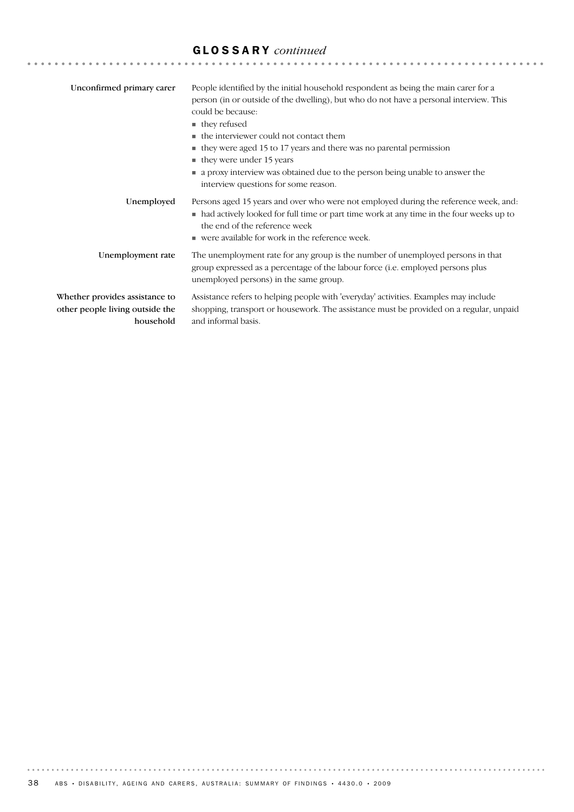| Unconfirmed primary carer                                                      | People identified by the initial household respondent as being the main carer for a<br>person (in or outside of the dwelling), but who do not have a personal interview. This<br>could be because:<br>$\blacksquare$ they refused<br>$\blacksquare$ the interviewer could not contact them<br>• they were aged 15 to 17 years and there was no parental permission<br>$\blacksquare$ they were under 15 years<br>• a proxy interview was obtained due to the person being unable to answer the<br>interview questions for some reason. |
|--------------------------------------------------------------------------------|----------------------------------------------------------------------------------------------------------------------------------------------------------------------------------------------------------------------------------------------------------------------------------------------------------------------------------------------------------------------------------------------------------------------------------------------------------------------------------------------------------------------------------------|
| Unemployed                                                                     | Persons aged 15 years and over who were not employed during the reference week, and:<br>• had actively looked for full time or part time work at any time in the four weeks up to<br>the end of the reference week<br>$\blacksquare$ were available for work in the reference week.                                                                                                                                                                                                                                                    |
| Unemployment rate                                                              | The unemployment rate for any group is the number of unemployed persons in that<br>group expressed as a percentage of the labour force (i.e. employed persons plus<br>unemployed persons) in the same group.                                                                                                                                                                                                                                                                                                                           |
| Whether provides assistance to<br>other people living outside the<br>household | Assistance refers to helping people with 'everyday' activities. Examples may include<br>shopping, transport or housework. The assistance must be provided on a regular, unpaid<br>and informal basis.                                                                                                                                                                                                                                                                                                                                  |